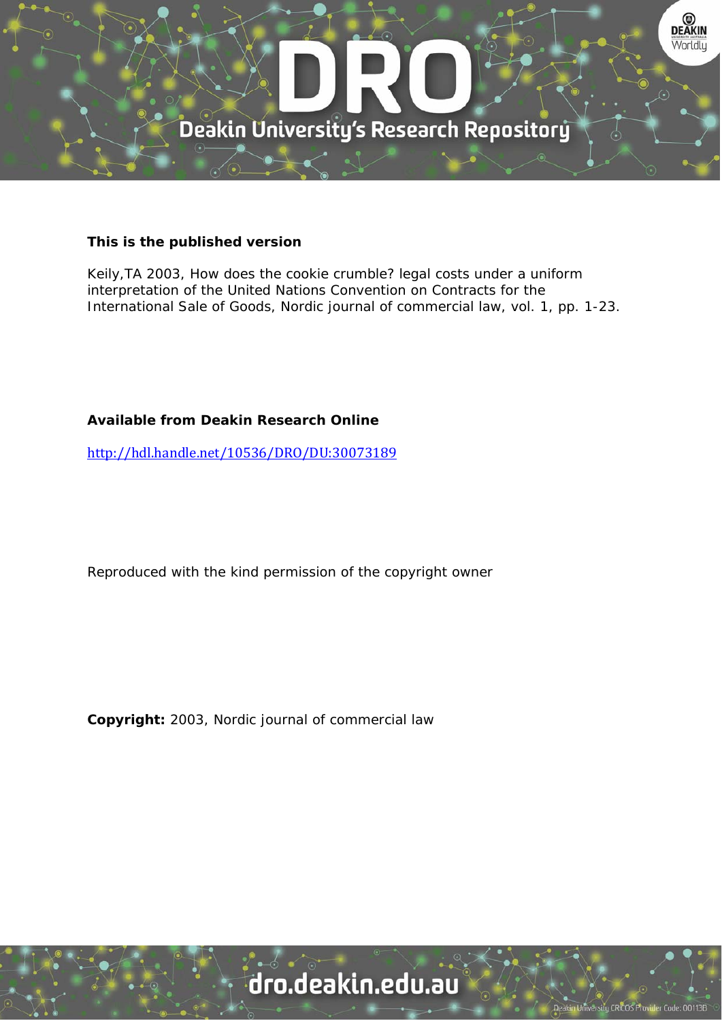

### **This is the published version**

Keily,TA 2003, How does the cookie crumble? legal costs under a uniform interpretation of the United Nations Convention on Contracts for the International Sale of Goods, Nordic journal of commercial law, vol. 1, pp. 1-23.

## **Available from Deakin Research Online**

http://hdl.handle.net/10536/DRO/DU:30073189

Reproduced with the kind permission of the copyright owner

**Copyright:** 2003, Nordic journal of commercial law

# dro.deakin.edu.au

ersity CRICOS Pro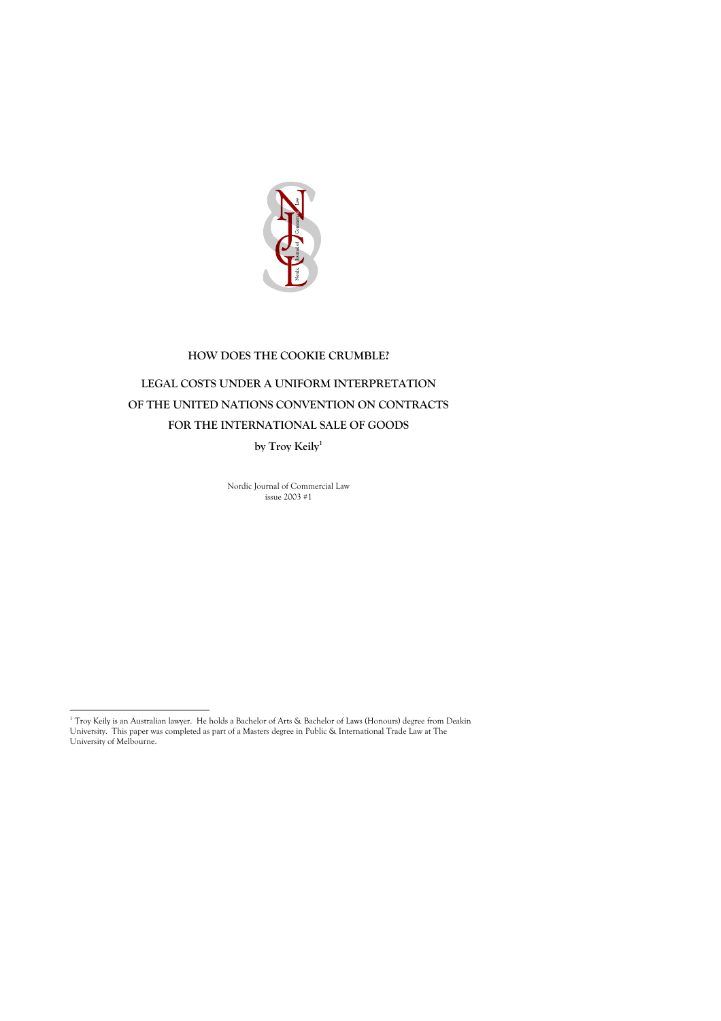

# **HOW DOES THE COOKIE CRUMBLE? LEGAL COSTS UNDER A UNIFORM INTERPRETATION OF THE UNITED NATIONS CONVENTION ON CONTRACTS FOR THE INTERNATIONAL SALE OF GOODS by Troy Keily 1**

Nordic Journal of Commercial Law

issue 2003 #1

 $^1$  Troy Keily is an Australian lawyer. He holds a Bachelor of Arts & Bachelor of Laws (Honours) degree from Deakin University. This paper was completed as part of a Masters degree in Public & International Trade Law at The University of Melbourne.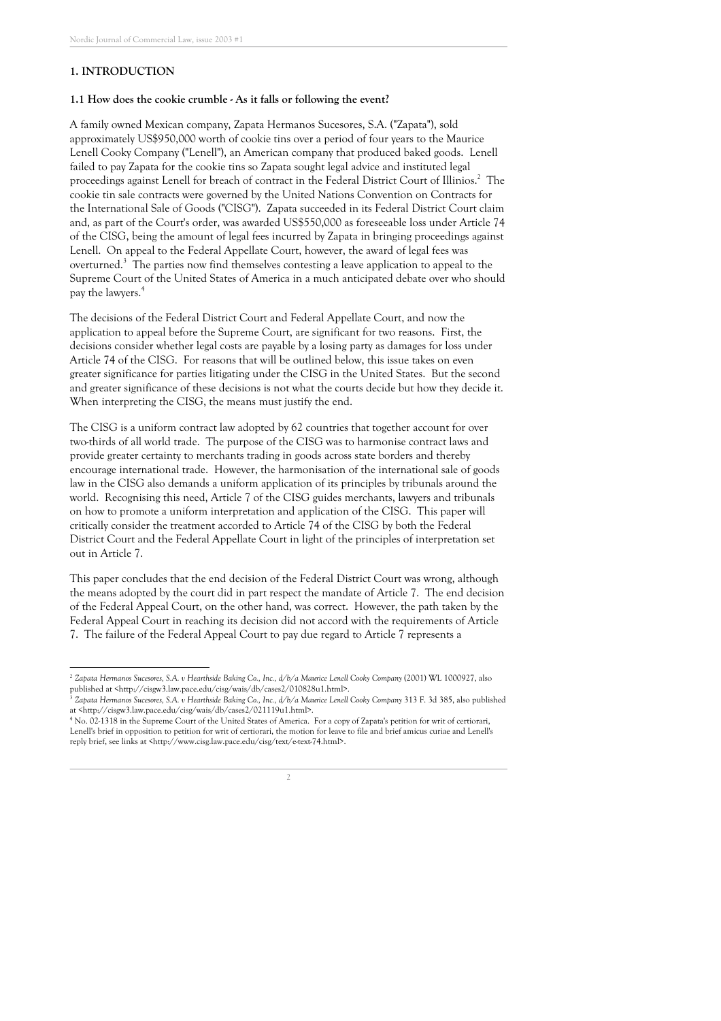#### **1. INTRODUCTION**

#### **1.1 How does the cookie crumble - As it falls or following the event?**

A family owned Mexican company, Zapata Hermanos Sucesores, S.A. ("Zapata "), sold approximately US\$950,000 worth of cookie tins over a period of four years to the Maurice Lenell Cooky Company ("Lenell"), an American company that produced baked goods. Lenell failed to pay Zapata for the cookie tins so Zapata sought legal advice and instituted legal proceedings against Lenell for breach of contract in the Federal District Court of Illinios. <sup>2</sup> The cookie tin sale contracts were governed by the United Nations Convention on Contracts for the International Sale of Goods ("CISG"). Zapata succeeded in its Federal District Court claim and, as part of the Court' s order, was awarded US\$550,000 as foreseeable loss under Article 74 of the CISG, being the amount of legal fees incurred by Zapata in bringing proceedings against Lenell. On appeal to the Federal Appellate Court, however, the award of legal fees was overturned.<sup>3</sup> The parties now find themselves contesting a leave application to appeal to the Supreme Court of the United States of America in a much anticipated debate over who should pay the lawyers. 4

The decisions of the Federal District Court and Federal Appellate Court, and now the application to appeal before the Supreme Court, are significant for two reasons. First, the decisions consider whether legal costs are payable by a losing party as damages for loss under Article 74 of the CISG. For reasons that will be outlined below, this issue takes on even greater significance for parties litigating under the CISG in the United States. But the second and greater significance of these decisions is not what the courts decide but how they decide it. When interpreting the CISG, the means must justify the end.

The CISG is a uniform contract law adopted by 62 countries that together account for over two-thirds of all world trade. The purpose of the CISG was to harmonise contract laws and provide greater certainty to merchants trading in goods across state borders and thereby encourage international trade. However, the harmonisation of the international sale of goods law in the CISG also demands a uniform application of its principles by tribunals around the world. Recognising this need, Article 7 of the CISG guides merchants, lawyers and tribunals on how to promote a uniform interpretation and application of the CISG. This paper will critically consider the treatment accorded to Article 74 of the CISG by both the Federal District Court and the Federal Appellate Court in light of the principles of interpretation set out in Article 7.

This paper concludes that the end decision of the Federal District Court was wrong, although the means adopted by the court did in part respect the mandate of Article 7. The end decision of the Federal Appeal Court, on the other hand, was correct. However, the path taken by the Federal Appeal Court in reaching its decision did not accord with the requirements of Article 7. The failure of the Federal Appeal Court to pay due regard to Article 7 represents a

<sup>2</sup> *Zapata Hermanos Sucesores, S.A. v Hearthside Baking Co., Inc., d/b/a Maurice Lenell Cooky Company* (2001) WL 1000927, also published at <http://cisgw3.law.pace.edu/cisg/wais/db/cases2/010828u1.html>.

Zapata Hermanos Sucesores, S.A. v Hearthside Baking Co., Inc., d/b/a Maurice Lenell Cooky Company 313 F. 3d 385, also published at <http://cisgw3.law.pace.edu/cisg/wais/db/cases2/021119u1.html>.

<sup>4</sup> No. 02-1318 in the Supreme Court of the United States of America. For a copy of Zapata ' s petition for writ of certiorari, Lenell' s brief in opposition to petition for writ of certiorari, the motion for leave to file and brief amicus curiae and Lenell' s reply brief, see links at <http://www.cisg.law.pace.edu/cisg/text/e-text-74.html>.

 $\overline{\mathfrak{z}}$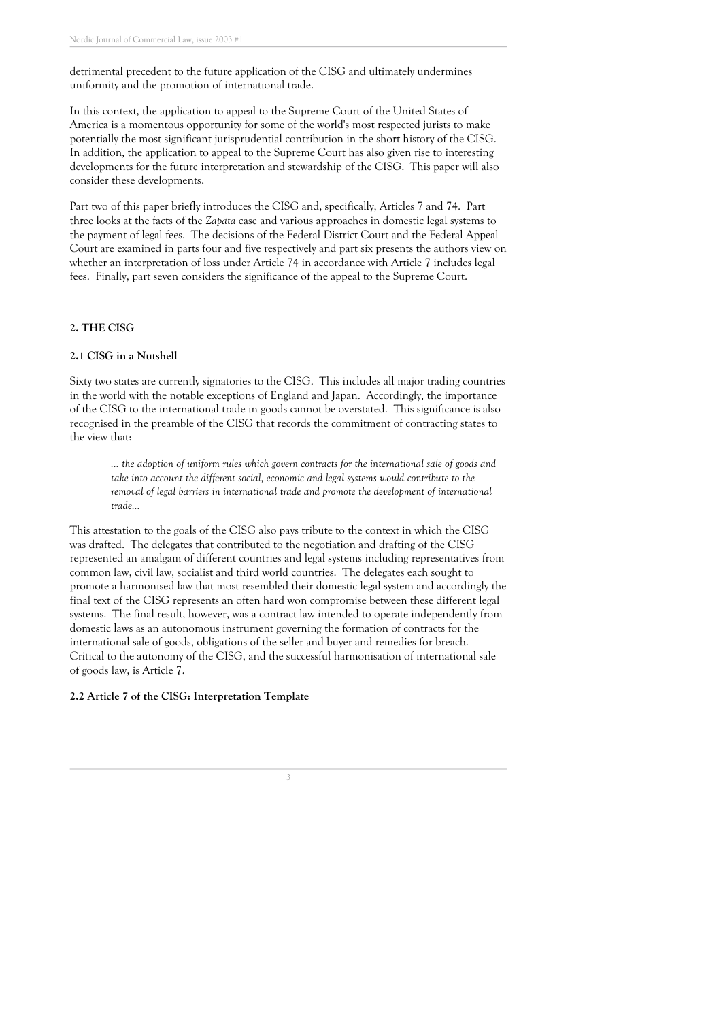detrimental precedent to the future application of the CISG and ultimately undermines uniformity and the promotion of international trade.

In this context, the application to appeal to the Supreme Court of the United States of America is a momentous opportunity for some of the world' s most respected jurists to make potentially the most significant jurisprudential contribution in the short history of the CISG. In addition, the application to appeal to the Supreme Court has also given rise to interesting developments for the future interpretation and stewardship of the CISG. This paper will also consider these developments.

Part two of this paper briefly introduces the CISG and, specifically, Articles 7 and 74. Part three looks at the facts of the *Zapata* case and various approaches in domestic legal systems to the payment of legal fees. The decisions of the Federal District Court and the Federal Appeal Court are examined in parts four and five respectively and part six presents the authors view on whether an interpretation of loss under Article 74 in accordance with Article 7 includes legal fees. Finally, part seven considers the significance of the appeal to the Supreme Court.

#### **2. THE CISG**

#### **2.1 CISG in a Nutshell**

Sixty two states are currently signatories to the CISG. This includes all major trading countries in the world with the notable exceptions of England and Japan. Accordingly, the importance of the CISG to the international trade in goods cannot be overstated. This significance is also recognised in the preamble of the CISG that records the commitment of contracting states to the view that:

*... the adoption of uniform rules which govern contracts for the international sale of goods and take into account the different social, economic and legal systems would contribute to the removal of legal barriers in international trade and promote the development of international trade...*

This attestation to the goals of the CISG also pays tribute to the context in which the CISG was drafted. The delegates that contributed to the negotiation and drafting of the CISG represented an amalgam of different countries and legal systems including representatives from common law, civil law, socialist and third world countries. The delegates each sought to promote a harmonised law that most resembled their domestic legal system and accordingly the final text of the CISG represents an often hard won compromise between these different legal systems. The final result, however, was a contract law intended to operate independently from domestic laws as an autonomous instrument governing the formation of contracts for the international sale of goods, obligations of the seller and buyer and remedies for breach. Critical to the autonomy of the CISG, and the successful harmonisation of international sale of goods law, is Article 7.

#### **2.2 Article 7 of the CISG: Interpretation Template**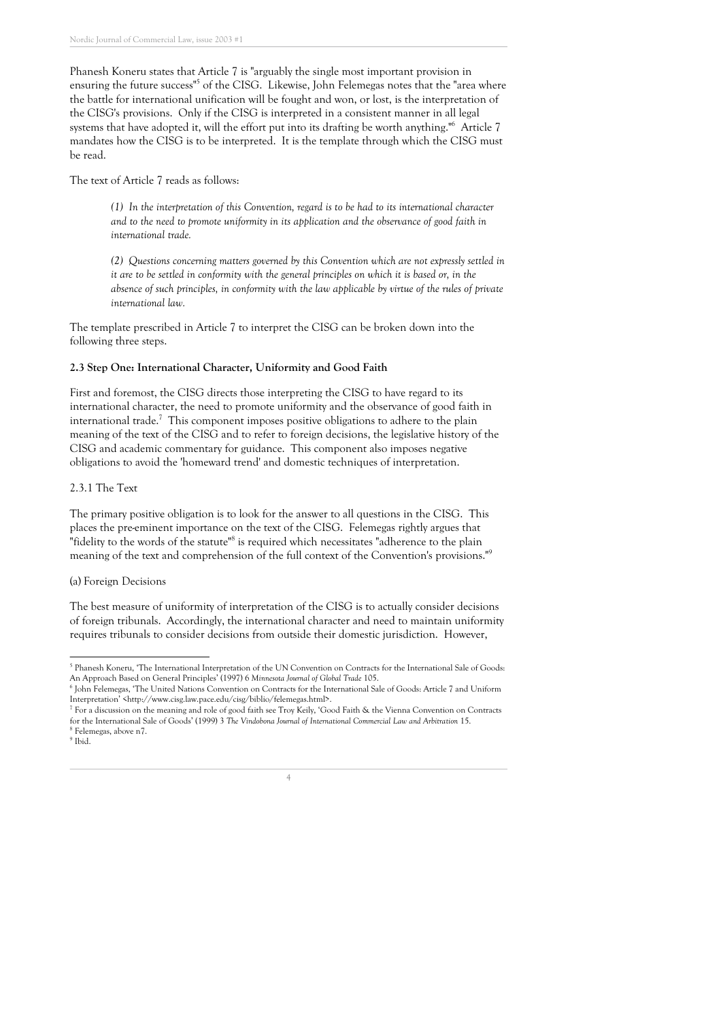Phanesh Koneru states that Article 7 is " arguably the single most important provision in ensuring the future success"<sup>5</sup> of the CISG. Likewise, John Felemegas notes that the "area where the battle for international unification will be fought and won, or lost, is the interpretation of the CISG' s provisions. Only if the CISG is interpreted in a consistent manner in all legal systems that have adopted it, will the effort put into its drafting be worth anything." <sup>6</sup> Article 7 mandates how the CISG is to be interpreted. It is the template through which the CISG must be read.

The text of Article 7 reads as follows:

*(1) In the interpretation of this Convention, regard is to be had to its international character and to the need to promote uniformity in its application and the observance of good faith in international trade.*

*(2) Questions concerning matters governed by this Convention which are not expressly settled in* it are to be settled in conformity with the general principles on which it is based or, in the *absence of such principles, in conformity with the law applicable by virtue of the rules of private international law.*

The template prescribed in Article 7 to interpret the CISG can be broken down into the following three steps.

#### **2.3 Step One: International Character, Uniformity and Good Faith**

First and foremost, the CISG directs those interpreting the CISG to have regard to its international character, the need to promote uniformity and the observance of good faith in international trade. <sup>7</sup> This component imposes positive obligations to adhere to the plain meaning of the text of the CISG and to refer to foreign decisions, the legislative history of the CISG and academic commentary for guidance. This component also imposes negative obligations to avoid the 'homeward trend' and domestic techniques of interpretation.

#### 2.3.1 The Text

The primary positive obligation is to look for the answer to all questions in the CISG. This places the pre-eminent importance on the text of the CISG. Felemegas rightly argues that "fidelity to the words of the statute"<sup>8</sup> is required which necessitates "adherence to the plain meaning of the text and comprehension of the full context of the Convention's provisions."<sup>9</sup>

#### (a) Foreign Decisions

The best measure of uniformity of interpretation of the CISG is to actually consider decisions of foreign tribunals. Accordingly, the international character and need to maintain uniformity requires tribunals to consider decisions from outside their domestic jurisdiction. However,

<sup>9</sup> Ibid.

<sup>5</sup> Phanesh Koneru, 'The International Interpretation of the UN Convention on Contracts for the International Sale of Goods: An Approach Based on General Principles ' (1997) 6 *Minnesota Journal of Global Trade* 105.

<sup>6</sup> John Felemegas, 'The United Nations Convention on Contracts for the International Sale of Goods: Article 7 and Uniform Interpretation ' <http://www.cisg.law.pace.edu/cisg/biblio/felemegas.html>.

<sup>7</sup> For a discussion on the meaning and role of good faith see Troy Keily, 'Good Faith & the Vienna Convention on Contracts for the International Sale of Goods ' (1999) 3 *The Vindobona Journal of International Commercial Law and Arbitration* 15. <sup>8</sup> Felemegas, above n7.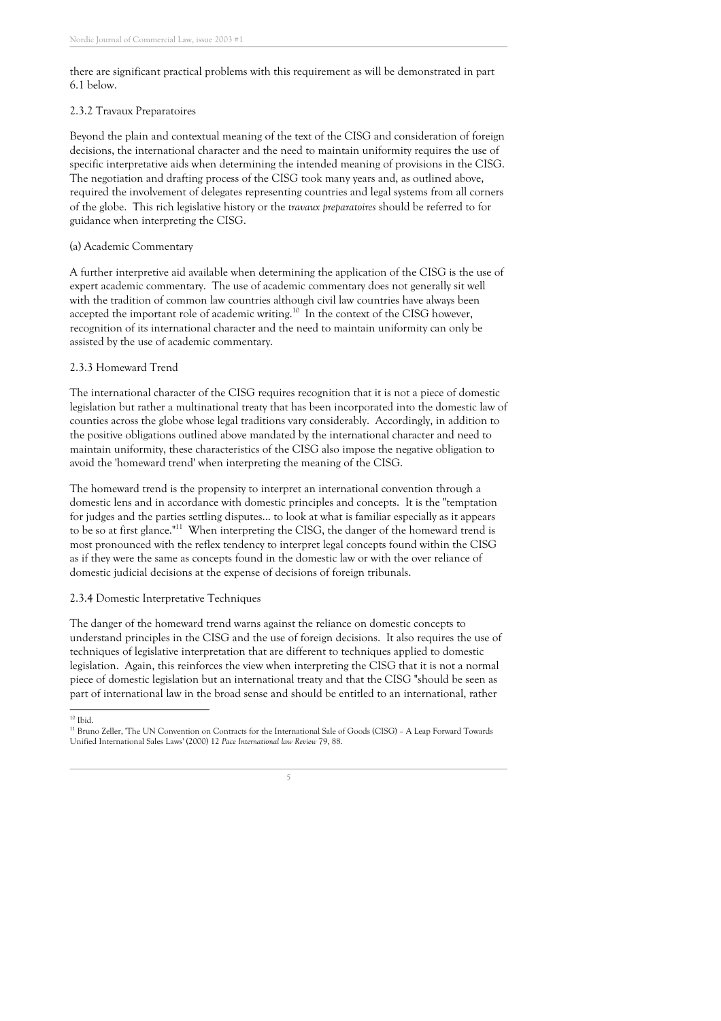there are significant practical problems with this requirement as will be demonstrated in part 6.1 below.

#### 2.3.2 Travaux Preparatoires

Beyond the plain and contextual meaning of the text of the CISG and consideration of foreign decisions, the international character and the need to maintain uniformity requires the use of specific interpretative aids when determining the intended meaning of provisions in the CISG. The negotiation and drafting process of the CISG took many years and, as outlined above, required the involvement of delegates representing countries and legal systems from all corners of the globe. This rich legislative history or the *travaux preparatoires* should be referred to for guidance when interpreting the CISG.

#### (a) Academic Commentary

A further interpretive aid available when determining the application of the CISG is the use of expert academic commentary. The use of academic commentary does not generally sit well with the tradition of common law countries although civil law countries have always been accepted the important role of academic writing.<sup>10</sup> In the context of the CISG however, recognition of its international character and the need to maintain uniformity can only be assisted by the use of academic commentary.

#### 2.3.3 Homeward Trend

The international character of the CISG requires recognition that it is not a piece of domestic legislation but rather a multinational treaty that has been incorporated into the domestic law of counties across the globe whose legal traditions vary considerably. Accordingly, in addition to the positive obligations outlined above mandated by the international character and need to maintain uniformity, these characteristics of the CISG also impose the negative obligation to avoid the 'homeward trend' when interpreting the meaning of the CISG.

The homeward trend is the propensity to interpret an international convention through a domestic lens and in accordance with domestic principles and concepts. It is the "temptation for judges and the parties settling disputes... to look at what is familiar especially as it appears to be so at first glance."<sup>11</sup> When interpreting the CISG, the danger of the homeward trend is most pronounced with the reflex tendency to interpret legal concepts found within the CISG as if they were the same as concepts found in the domestic law or with the over reliance of domestic judicial decisions at the expense of decisions of foreign tribunals.

#### 2.3.4 Domestic Interpretative Techniques

The danger of the homeward trend warns against the reliance on domestic concepts to understand principles in the CISG and the use of foreign decisions. It also requires the use of techniques of legislative interpretation that are different to techniques applied to domestic legislation. Again, this reinforces the view when interpreting the CISG that it is not a normal piece of domestic legislation but an international treaty and that the CISG " should be seen as part of international law in the broad sense and should be entitled to an international, rather

 $^{10}$  Ibid.

<sup>&</sup>lt;sup>11</sup> Bruno Zeller, 'The UN Convention on Contracts for the International Sale of Goods (CISG) - A Leap Forward Towards Unified International Sales Laws ' (2000) 12 *Pace International law Review* 79, 88.

<sup>5</sup>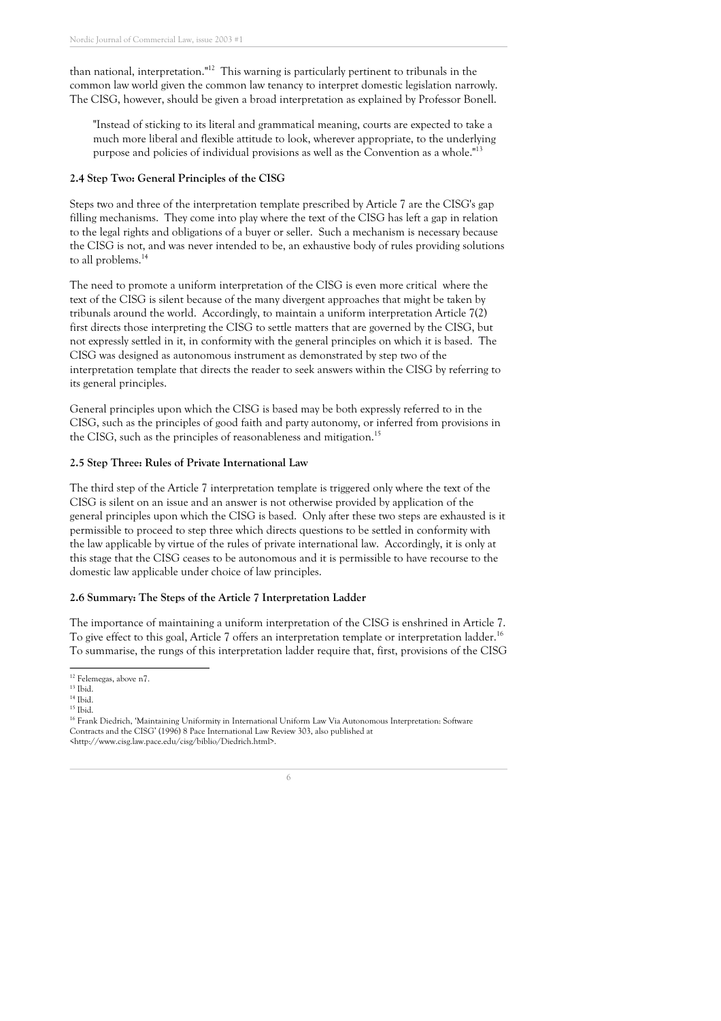than national, interpretation."<sup>12</sup> This warning is particularly pertinent to tribunals in the common law world given the common law tenancy to interpret domestic legislation narrowly. The CISG, however, should be given a broad interpretation as explained by Professor Bonell.

"Instead of sticking to its literal and grammatical meaning, courts are expected to take a much more liberal and flexible attitude to look, wherever appropriate, to the underlying purpose and policies of individual provisions as well as the Convention as a whole."<sup>13</sup>

#### **2.4 Step Two: General Principles of the CISG**

Steps two and three of the interpretation template prescribed by Article 7 are the CISG' s gap filling mechanisms. They come into play where the text of the CISG has left a gap in relation to the legal rights and obligations of a buyer or seller. Such a mechanism is necessary because the CISG is not, and was never intended to be, an exhaustive body of rules providing solutions to all problems. 14

The need to promote a uniform interpretation of the CISG is even more critical where the text of the CISG is silent because of the many divergent approaches that might be taken by tribunals around the world. Accordingly, to maintain a uniform interpretation Article 7(2) first directs those interpreting the CISG to settle matters that are governed by the CISG, but not expressly settled in it, in conformity with the general principles on which it is based. The CISG was designed as autonomous instrument as demonstrated by step two of the interpretation template that directs the reader to seek answers within the CISG by referring to its general principles.

General principles upon which the CISG is based may be both expressly referred to in the CISG, such as the principles of good faith and party autonomy, or inferred from provisions in the CISG, such as the principles of reasonableness and mitigation.<sup>15</sup>

#### **2.5 Step Three: Rules of Private International Law**

The third step of the Article 7 interpretation template is triggered only where the text of the CISG is silent on an issue and an answer is not otherwise provided by application of the general principles upon which the CISG is based. Only after these two steps are exhausted is it permissible to proceed to step three which directs questions to be settled in conformity with the law applicable by virtue of the rules of private international law. Accordingly, it is only at this stage that the CISG ceases to be autonomous and it is permissible to have recourse to the domestic law applicable under choice of law principles.

#### **2.6 Summary: The Steps of the Article 7 Interpretation Ladder**

The importance of maintaining a uniform interpretation of the CISG is enshrined in Article 7. To give effect to this goal, Article 7 offers an interpretation template or interpretation ladder.<sup>16</sup> To summarise, the rungs of this interpretation ladder require that, first, provisions of the CISG

 $^{\rm 12}$  Felemegas, above n7.

 $13$  Ibid.

 $^{14}$  Ibid.  $^{15}$  Ibid.

<sup>&</sup>lt;sup>16</sup> Frank Diedrich, 'Maintaining Uniformity in International Uniform Law Via Autonomous Interpretation: Software Contracts and the CISG' (1996) 8 Pace International Law Review 303, also published at <http://www.cisg.law.pace.edu/cisg/biblio/Diedrich.html>.

<sup>6</sup>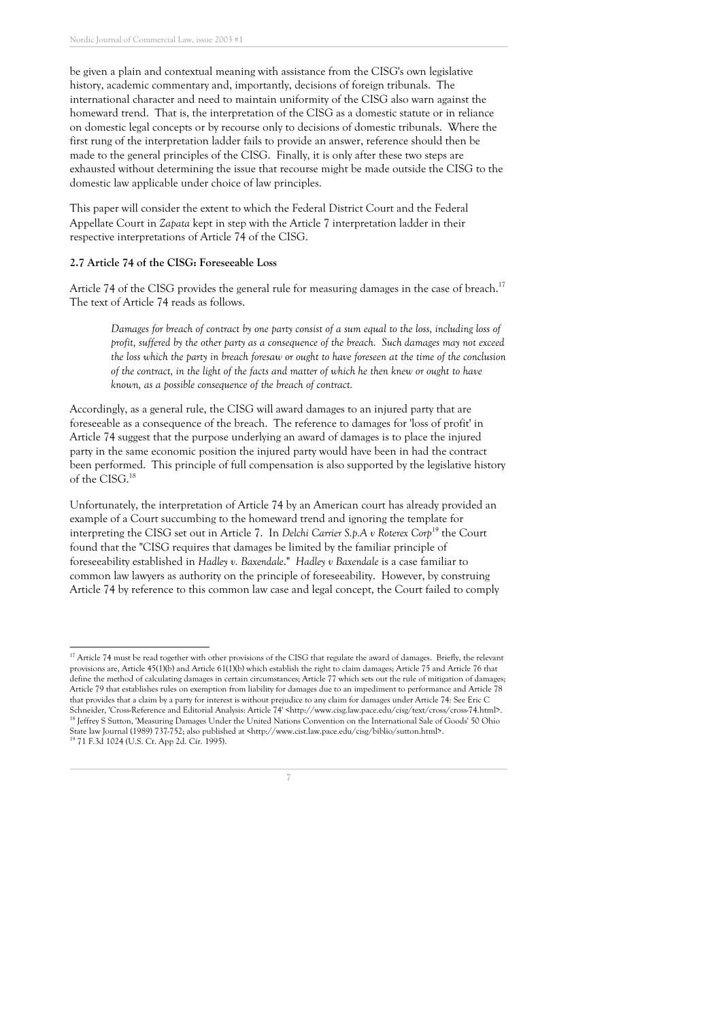be given a plain and contextual meaning with assistance from the CISG' s own legislative history, academic commentary and, importantly, decisions of foreign tribunals. The international character and need to maintain uniformity of the CISG also warn against the homeward trend. That is, the interpretation of the CISG as a domestic statute or in reliance on domestic legal concepts or by recourse only to decisions of domestic tribunals. Where the first rung of the interpretation ladder fails to provide an answer, reference should then be made to the general principles of the CISG. Finally, it is only after these two steps are exhausted without determining the issue that recourse might be made outside the CISG to the domestic law applicable under choice of law principles.

This paper will consider the extent to which the Federal District Court and the Federal Appellate Court in *Zapata* kept in step with the Article 7 interpretation ladder in their respective interpretations of Article 74 of the CISG.

#### **2.7 Article 74 of the CISG: Foreseeable Loss**

Article 74 of the CISG provides the general rule for measuring damages in the case of breach.<sup>17</sup> The text of Article 74 reads as follows.

Damages for breach of contract by one party consist of a sum equal to the loss, including loss of *profit, suffered by the other party as a consequence of the breach. Such damages may not exceed* the loss which the party in breach foresaw or ought to have foreseen at the time of the conclusion of the contract, in the light of the facts and matter of which he then knew or ought to have *known, as a possible consequence of the breach of contract.*

Accordingly, as a general rule, the CISG will award damages to an injured party that are foreseeable as a consequence of the breach. The reference to damages for 'loss of profit' in Article 74 suggest that the purpose underlying an award of damages is to place the injured party in the same economic position the injured party would have been in had the contract been performed. This principle of full compensation is also supported by the legislative history of the CISG. 18

Unfortunately, the interpretation of Article 74 by an American court has already provided an example of a Court succumbing to the homeward trend and ignoring the template for interpreting the CISG set out in Article 7. In *Delchi Carrier S.p.A v Roterex Corp19* the Court found that the "CISG requires that damages be limited by the familiar principle of foreseeability established in *Hadley v. Baxendale*." *Hadley v Baxendale* is a case familiar to common law lawyers as authority on the principle of foreseeability. However, by construing Article 74 by reference to this common law case and legal concept, the Court failed to comply

<sup>&</sup>lt;sup>17</sup> Article 74 must be read together with other provisions of the CISG that regulate the award of damages. Briefly, the relevant provisions are, Article 45(1)(b) and Article 61(1)(b) which establish the right to claim damages; Article 75 and Article 76 that define the method of calculating damages in certain circumstances; Article 77 which sets out the rule of mitigation of damages; Article 79 that establishes rules on exemption from liability for damages due to an impediment to performance and Article 78 that provides that a claim by a party for interest is without prejudice to any claim for damages under Article 74: See Eric C Schneider, 'Cross-Reference and Editorial Analysis: Article 74' <http://www.cisg.law.pace.edu/cisg/text/cross/cross-74.html>. <sup>18</sup> Jeffrey S Sutton, 'Measuring Damages Under the United Nations Convention on the International Sale of Goods' 50 Ohio State law Journal (1989) 737-752; also published at <http://www.cist.law.pace.edu/cisg/biblio/sutton.html>. <sup>19</sup> 71 F.3d 1024 (U.S. Ct. App 2d. Cir. 1995).

<sup>7</sup>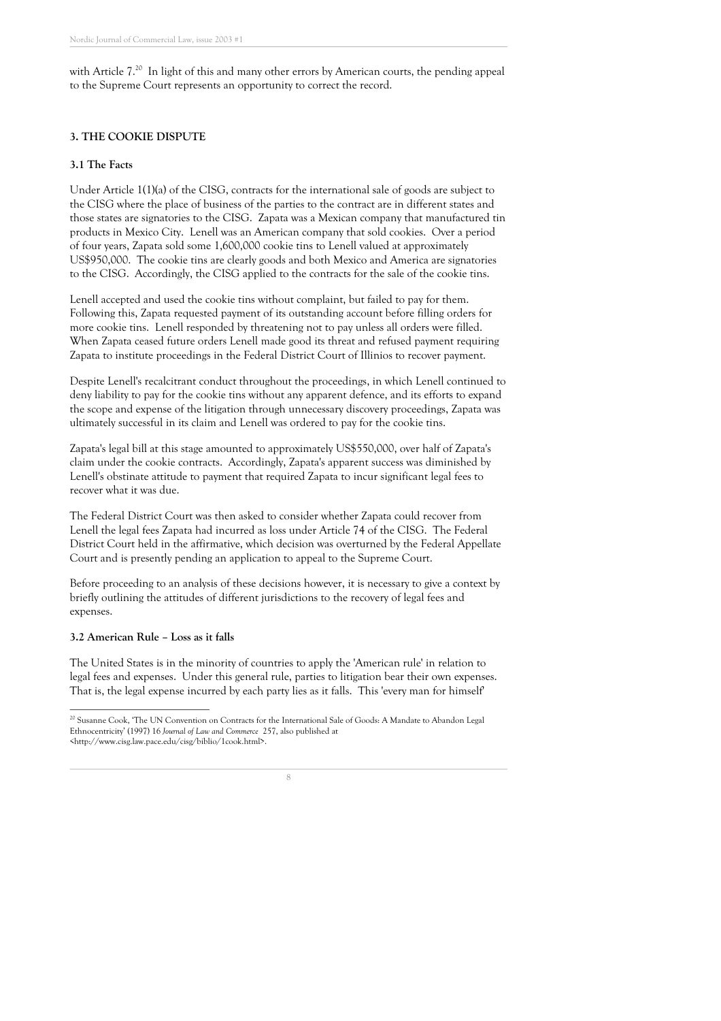with Article  $7.^{20}$  In light of this and many other errors by American courts, the pending appeal to the Supreme Court represents an opportunity to correct the record.

#### **3. THE COOKIE DISPUTE**

#### **3.1 The Facts**

Under Article 1(1)(a) of the CISG, contracts for the international sale of goods are subject to the CISG where the place of business of the parties to the contract are in different states and those states are signatories to the CISG. Zapata was a Mexican company that manufactured tin products in Mexico City. Lenell was an American company that sold cookies. Over a period of four years, Zapata sold some 1,600,000 cookie tins to Lenell valued at approximately US\$950,000. The cookie tins are clearly goods and both Mexico and America are signatories to the CISG. Accordingly, the CISG applied to the contracts for the sale of the cookie tins.

Lenell accepted and used the cookie tins without complaint, but failed to pay for them. Following this, Zapata requested payment of its outstanding account before filling orders for more cookie tins. Lenell responded by threatening not to pay unless all orders were filled. When Zapata ceased future orders Lenell made good its threat and refused payment requiring Zapata to institute proceedings in the Federal District Court of Illinios to recover payment.

Despite Lenell' s recalcitrant conduct throughout the proceedings, in which Lenell continued to deny liability to pay for the cookie tins without any apparent defence, and its efforts to expand the scope and expense of the litigation through unnecessary discovery proceedings, Zapata was ultimately successful in its claim and Lenell was ordered to pay for the cookie tins.

Zapata's legal bill at this stage amounted to approximately US\$550,000, over half of Zapata's claim under the cookie contracts. Accordingly, Zapata ' s apparent success was diminished by Lenell' s obstinate attitude to payment that required Zapata to incur significant legal fees to recover what it was due.

The Federal District Court was then asked to consider whether Zapata could recover from Lenell the legal fees Zapata had incurred as loss under Article 74 of the CISG. The Federal District Court held in the affirmative, which decision was overturned by the Federal Appellate Court and is presently pending an application to appeal to the Supreme Court.

Before proceeding to an analysis of these decisions however, it is necessary to give a context by briefly outlining the attitudes of different jurisdictions to the recovery of legal fees and expenses.

#### **3.2 American Rule – Loss as it falls**

The United States is in the minority of countries to apply the 'American rule ' in relation to legal fees and expenses. Under this general rule, parties to litigation bear their own expenses. That is, the legal expense incurred by each party lies as it falls. This ' every man for himself'

<sup>&</sup>lt;sup>20</sup> Susanne Cook, 'The UN Convention on Contracts for the International Sale of Goods: A Mandate to Abandon Legal Ethnocentricity ' (1997) 16 *Journal of Law and Commerce* 257, also published at <http://www.cisg.law.pace.edu/cisg/biblio/1cook.html>.

<sup>8</sup>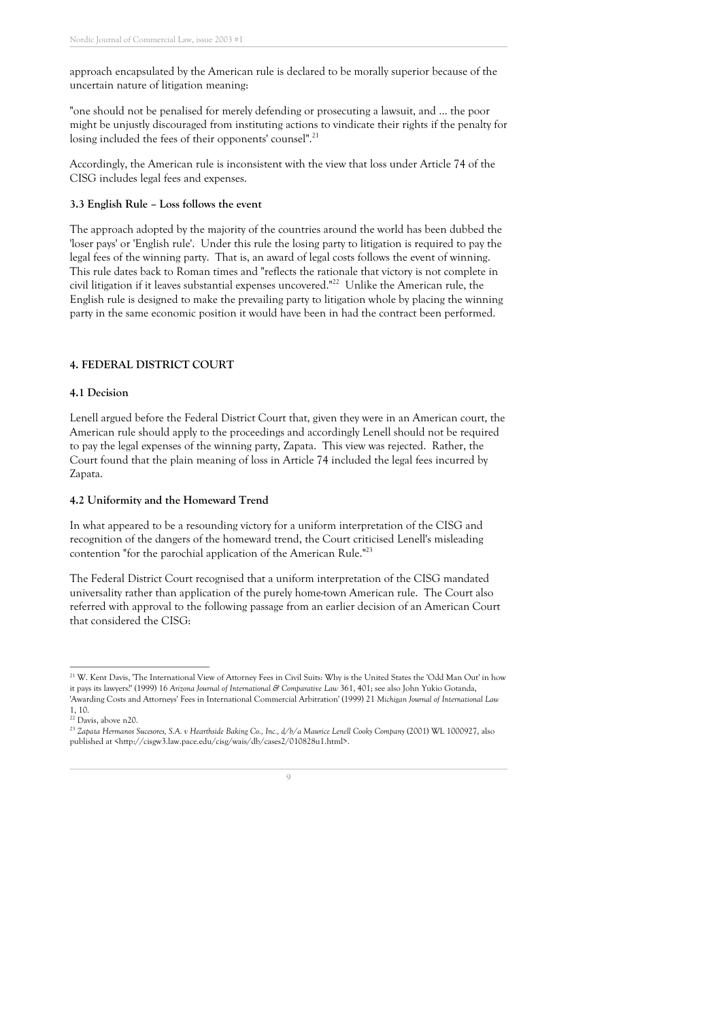approach encapsulated by the American rule is declared to be morally superior because of the uncertain nature of litigation meaning:

" one should not be penalised for merely defending or prosecuting a lawsuit, and ... the poor might be unjustly discouraged from instituting actions to vindicate their rights if the penalty for losing included the fees of their opponents' counsel".<sup>21</sup>

Accordingly, the American rule is inconsistent with the view that loss under Article 74 of the CISG includes legal fees and expenses.

#### **3.3 English Rule – Loss follows the event**

The approach adopted by the majority of the countries around the world has been dubbed the 'loser pays ' or 'English rule '. Under this rule the losing party to litigation is required to pay the legal fees of the winning party. That is, an award of legal costs follows the event of winning. This rule dates back to Roman times and "reflects the rationale that victory is not complete in civil litigation if it leaves substantial expenses uncovered." <sup>22</sup> Unlike the American rule, the English rule is designed to make the prevailing party to litigation whole by placing the winning party in the same economic position it would have been in had the contract been performed.

#### **4. FEDERAL DISTRICT COURT**

#### **4.1 Decision**

Lenell argued before the Federal District Court that, given they were in an American court, the American rule should apply to the proceedings and accordingly Lenell should not be required to pay the legal expenses of the winning party, Zapata. This view was rejected. Rather, the Court found that the plain meaning of loss in Article 74 included the legal fees incurred by Zapata.

#### **4.2 Uniformity and the Homeward Trend**

In what appeared to be a resounding victory for a uniform interpretation of the CISG and recognition of the dangers of the homeward trend, the Court criticised Lenell' s misleading contention "for the parochial application of the American Rule."<sup>23</sup>

The Federal District Court recognised that a uniform interpretation of the CISG mandated universality rather than application of the purely home-town American rule. The Court also referred with approval to the following passage from an earlier decision of an American Court that considered the CISG:

<sup>23</sup> *Zapata Hermanos Sucesores, S.A. v Hearthside Baking Co., Inc., d/b/a Maurice Lenell Cooky Company* (2001) WL 1000927, also published at <http://cisgw3.law.pace.edu/cisg/wais/db/cases2/010828u1.html>.



<sup>&</sup>lt;sup>21</sup> W. Kent Davis, 'The International View of Attorney Fees in Civil Suits: Why is the United States the 'Odd Man Out' in how it pays its lawyers?' (1999) 16 *Arizona Journal of International & Comparative Law* 361, 401; see also John Yukio Gotanda, 'Awarding Costs and Attorneys ' Fees in International Commercial Arbitration' (1999) 21 *Michigan Journal of International Law*

<sup>1,</sup> 10.

<sup>&</sup>lt;sup>22</sup> Davis, above n20.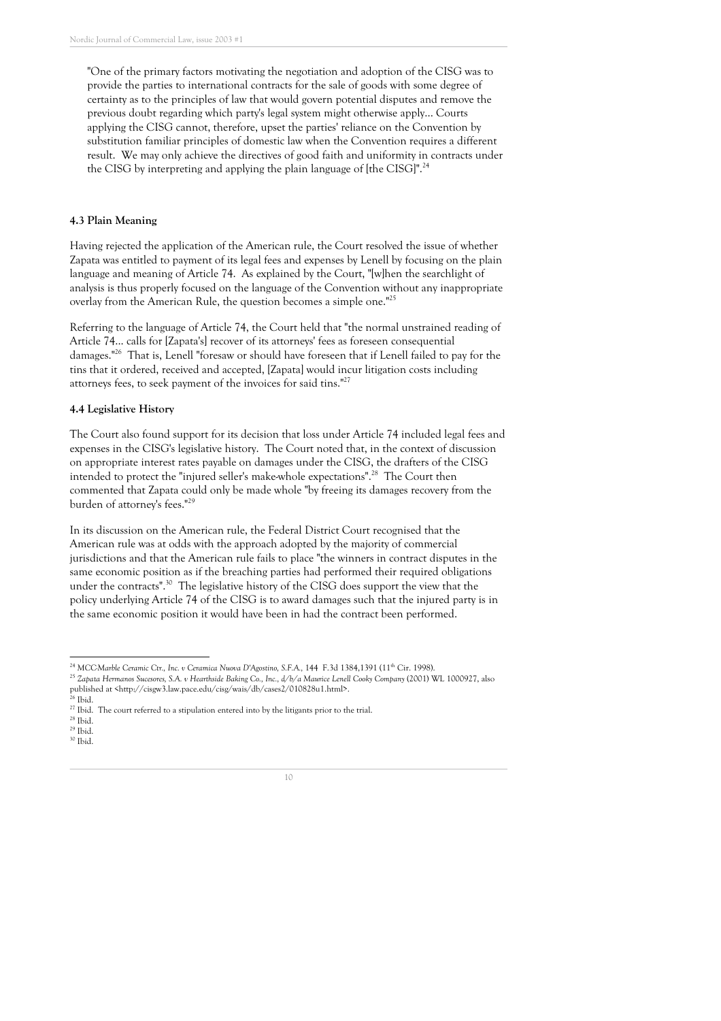"One of the primary factors motivating the negotiation and adoption of the CISG was to provide the parties to international contracts for the sale of goods with some degree of certainty as to the principles of law that would govern potential disputes and remove the previous doubt regarding which party ' s legal system might otherwise apply... Courts applying the CISG cannot, therefore, upset the parties ' reliance on the Convention by substitution familiar principles of domestic law when the Convention requires a different result. We may only achieve the directives of good faith and uniformity in contracts under the CISG by interpreting and applying the plain language of [the CISG]".  $^{24}$ 

#### **4.3 Plain Meaning**

Having rejected the application of the American rule, the Court resolved the issue of whether Zapata was entitled to payment of its legal fees and expenses by Lenell by focusing on the plain language and meaning of Article 74. As explained by the Court, "[w]hen the searchlight of analysis is thus properly focused on the language of the Convention without any inappropriate overlay from the American Rule, the question becomes a simple one.<sup>"25</sup>

Referring to the language of Article 74, the Court held that "the normal unstrained reading of Article 74... calls for [Zapata's] recover of its attorneys' fees as foreseen consequential damages." <sup>26</sup> That is, Lenell "foresaw or should have foreseen that if Lenell failed to pay for the tins that it ordered, received and accepted, [Zapata] would incur litigation costs including attorneys fees, to seek payment of the invoices for said tins."<sup>27</sup>

#### **4.4 Legislative History**

The Court also found support for its decision that loss under Article 74 included legal fees and expenses in the CISG' s legislative history. The Court noted that, in the context of discussion on appropriate interest rates payable on damages under the CISG, the drafters of the CISG intended to protect the "injured seller's make-whole expectations".<sup>28</sup> The Court then commented that Zapata could only be made whole "by freeing its damages recovery from the burden of attorney's fees."<sup>29</sup>

In its discussion on the American rule, the Federal District Court recognised that the American rule was at odds with the approach adopted by the majority of commercial jurisdictions and that the American rule fails to place "the winners in contract disputes in the same economic position as if the breaching parties had performed their required obligations under the contracts".<sup>30</sup> The legislative history of the CISG does support the view that the policy underlying Article 74 of the CISG is to award damages such that the injured party is in the same economic position it would have been in had the contract been performed.

<sup>24</sup> *MCC-Marble Ceramic Ctr., Inc. v Ceramica Nuova D'Agostino, S.F.A.,* 144 F.3d 1384,1391 (11th Cir. 1998).

<sup>25</sup> *Zapata Hermanos Sucesores, S.A. v Hearthside Baking Co., Inc., d/b/a Maurice Lenell Cooky Company* (2001) WL 1000927, also published at <http://cisgw3.law.pace.edu/cisg/wais/db/cases2/010828u1.html>.

<sup>26</sup> Ibid.

 $27$  Ibid. The court referred to a stipulation entered into by the litigants prior to the trial.

 $^{28}$  Ibid.

 $29$  Ibid. <sup>30</sup> Ibid.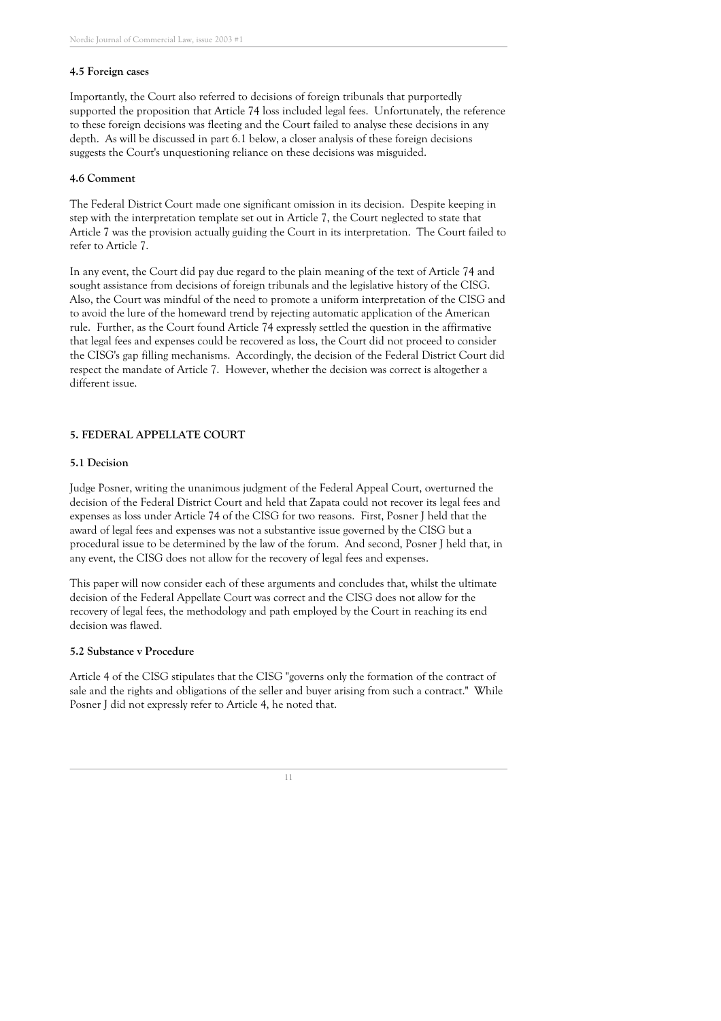#### **4.5 Foreign cases**

Importantly, the Court also referred to decisions of foreign tribunals that purportedly supported the proposition that Article 74 loss included legal fees. Unfortunately, the reference to these foreign decisions was fleeting and the Court failed to analyse these decisions in any depth. As will be discussed in part 6.1 below, a closer analysis of these foreign decisions suggests the Court' s unquestioning reliance on these decisions was misguided.

#### **4.6 Comment**

The Federal District Court made one significant omission in its decision. Despite keeping in step with the interpretation template set out in Article 7, the Court neglected to state that Article 7 was the provision actually guiding the Court in its interpretation. The Court failed to refer to Article 7.

In any event, the Court did pay due regard to the plain meaning of the text of Article 74 and sought assistance from decisions of foreign tribunals and the legislative history of the CISG. Also, the Court was mindful of the need to promote a uniform interpretation of the CISG and to avoid the lure of the homeward trend by rejecting automatic application of the American rule. Further, as the Court found Article 74 expressly settled the question in the affirmative that legal fees and expenses could be recovered as loss, the Court did not proceed to consider the CISG' s gap filling mechanisms. Accordingly, the decision of the Federal District Court did respect the mandate of Article 7. However, whether the decision was correct is altogether a different issue.

#### **5. FEDERAL APPELLATE COURT**

#### **5.1 Decision**

Judge Posner, writing the unanimous judgment of the Federal Appeal Court, overturned the decision of the Federal District Court and held that Zapata could not recover its legal fees and expenses as loss under Article 74 of the CISG for two reasons. First, Posner J held that the award of legal fees and expenses was not a substantive issue governed by the CISG but a procedural issue to be determined by the law of the forum. And second, Posner J held that, in any event, the CISG does not allow for the recovery of legal fees and expenses.

This paper will now consider each of these arguments and concludes that, whilst the ultimate decision of the Federal Appellate Court was correct and the CISG does not allow for the recovery of legal fees, the methodology and path employed by the Court in reaching its end decision was flawed.

#### **5.2 Substance v Procedure**

Article 4 of the CISG stipulates that the CISG "governs only the formation of the contract of sale and the rights and obligations of the seller and buyer arising from such a contract." While Posner J did not expressly refer to Article 4, he noted that.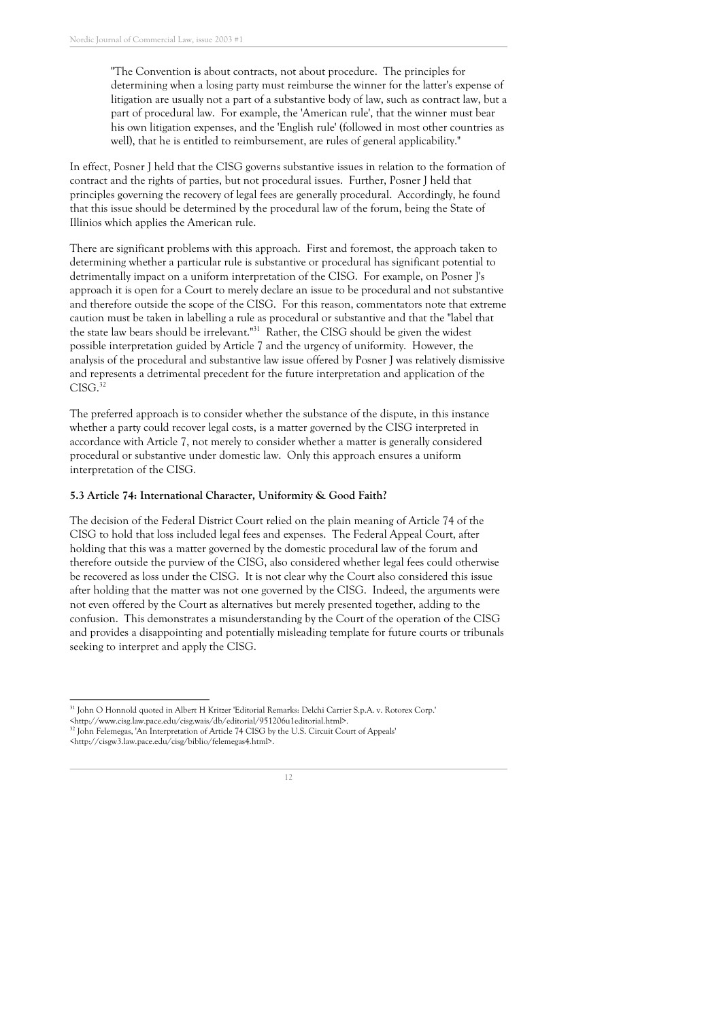"The Convention is about contracts, not about procedure. The principles for determining when a losing party must reimburse the winner for the latter' s expense of litigation are usually not a part of a substantive body of law, such as contract law, but a part of procedural law. For example, the 'American rule ' , that the winner must bear his own litigation expenses, and the 'English rule ' (followed in most other countries as well), that he is entitled to reimbursement, are rules of general applicability."

In effect, Posner J held that the CISG governs substantive issues in relation to the formation of contract and the rights of parties, but not procedural issues. Further, Posner J held that principles governing the recovery of legal fees are generally procedural. Accordingly, he found that this issue should be determined by the procedural law of the forum, being the State of Illinios which applies the American rule.

There are significant problems with this approach. First and foremost, the approach taken to determining whether a particular rule is substantive or procedural has significant potential to detrimentally impact on a uniform interpretation of the CISG. For example, on Posner J' s approach it is open for a Court to merely declare an issue to be procedural and not substantive and therefore outside the scope of the CISG. For this reason, commentators note that extreme caution must be taken in labelling a rule as procedural or substantive and that the "label that the state law bears should be irrelevant."<sup>31</sup> Rather, the CISG should be given the widest possible interpretation guided by Article 7 and the urgency of uniformity. However, the analysis of the procedural and substantive law issue offered by Posner J was relatively dismissive and represents a detrimental precedent for the future interpretation and application of the CISG. 32

The preferred approach is to consider whether the substance of the dispute, in this instance whether a party could recover legal costs, is a matter governed by the CISG interpreted in accordance with Article 7, not merely to consider whether a matter is generally considered procedural or substantive under domestic law. Only this approach ensures a uniform interpretation of the CISG.

#### **5.3 Article 74: International Character, Uniformity & Good Faith?**

The decision of the Federal District Court relied on the plain meaning of Article 74 of the CISG to hold that loss included legal fees and expenses. The Federal Appeal Court, after holding that this was a matter governed by the domestic procedural law of the forum and therefore outside the purview of the CISG, also considered whether legal fees could otherwise be recovered as loss under the CISG. It is not clear why the Court also considered this issue after holding that the matter was not one governed by the CISG. Indeed, the arguments were not even offered by the Court as alternatives but merely presented together, adding to the confusion. This demonstrates a misunderstanding by the Court of the operation of the CISG and provides a disappointing and potentially misleading template for future courts or tribunals seeking to interpret and apply the CISG.

<sup>&</sup>lt;http://cisgw3.law.pace.edu/cisg/biblio/felemegas4.html>.



<sup>31</sup> John O Honnold quoted in Albert H Kritzer 'Editorial Remarks: Delchi Carrier S.p.A. v. Rotorex Corp.'

<sup>&</sup>lt;http://www.cisg.law.pace.edu/cisg.wais/db/editorial/951206u1editorial.html>.

<sup>&</sup>lt;sup>32</sup> John Felemegas, 'An Interpretation of Article 74 CISG by the U.S. Circuit Court of Appeals'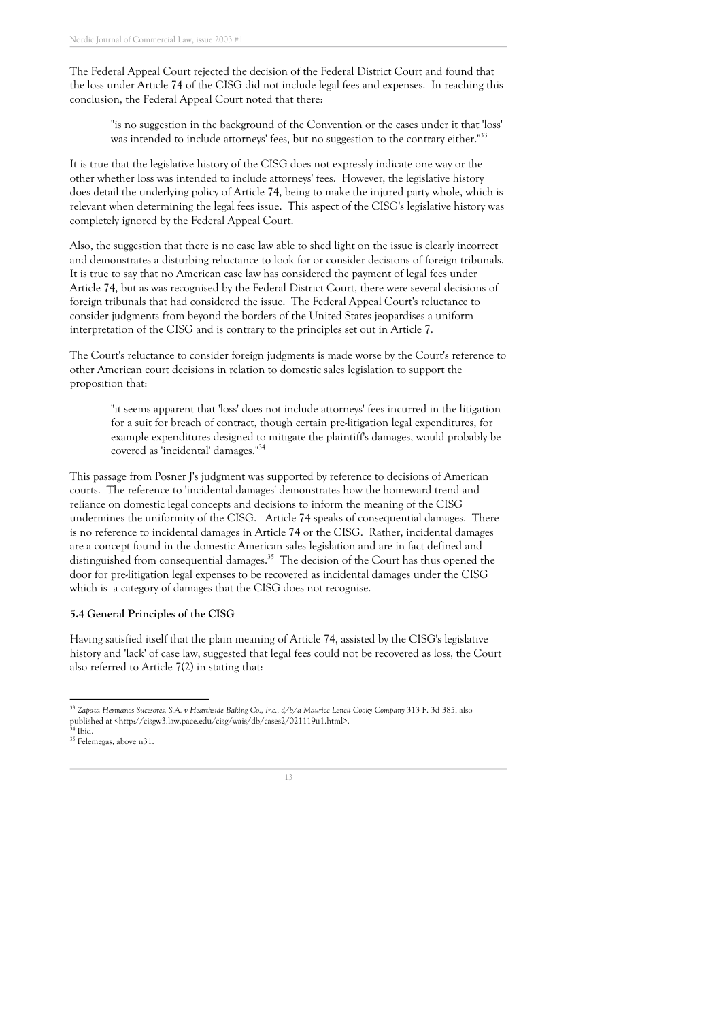The Federal Appeal Court rejected the decision of the Federal District Court and found that the loss under Article 74 of the CISG did not include legal fees and expenses. In reaching this conclusion, the Federal Appeal Court noted that there:

"is no suggestion in the background of the Convention or the cases under it that 'loss ' was intended to include attorneys' fees, but no suggestion to the contrary either."<sup>33</sup>

It is true that the legislative history of the CISG does not expressly indicate one way or the other whether loss was intended to include attorneys ' fees. However, the legislative history does detail the underlying policy of Article 74, being to make the injured party whole, which is relevant when determining the legal fees issue. This aspect of the CISG' s legislative history was completely ignored by the Federal Appeal Court.

Also, the suggestion that there is no case law able to shed light on the issue is clearly incorrect and demonstrates a disturbing reluctance to look for or consider decisions of foreign tribunals. It is true to say that no American case law has considered the payment of legal fees under Article 74, but as was recognised by the Federal District Court, there were several decisions of foreign tribunals that had considered the issue. The Federal Appeal Court' s reluctance to consider judgments from beyond the borders of the United States jeopardises a uniform interpretation of the CISG and is contrary to the principles set out in Article 7.

The Court' s reluctance to consider foreign judgments is made worse by the Court' s reference to other American court decisions in relation to domestic sales legislation to support the proposition that:

"it seems apparent that 'loss ' does not include attorneys ' fees incurred in the litigation for a suit for breach of contract, though certain pre-litigation legal expenditures, for example expenditures designed to mitigate the plaintiff' s damages, would probably be covered as 'incidental' damages." 34

This passage from Posner J' s judgment was supported by reference to decisions of American courts. The reference to 'incidental damages ' demonstrates how the homeward trend and reliance on domestic legal concepts and decisions to inform the meaning of the CISG undermines the uniformity of the CISG. Article 74 speaks of consequential damages. There is no reference to incidental damages in Article 74 or the CISG. Rather, incidental damages are a concept found in the domestic American sales legislation and are in fact defined and distinguished from consequential damages. <sup>35</sup> The decision of the Court has thus opened the door for pre-litigation legal expenses to be recovered as incidental damages under the CISG which is a category of damages that the CISG does not recognise.

#### **5.4 General Principles of the CISG**

Having satisfied itself that the plain meaning of Article 74, assisted by the CISG' s legislative history and 'lack' of case law, suggested that legal fees could not be recovered as loss, the Court also referred to Article 7(2) in stating that:

<sup>33</sup> *Zapata Hermanos Sucesores, S.A. v Hearthside Baking Co., Inc., d/b/a Maurice Lenell Cooky Company* 313 F. 3d 385, also published at <http://cisgw3.law.pace.edu/cisg/wais/db/cases2/021119u1.html>.  $34$  Ibid.

<sup>35</sup> Felemegas, above n31.

<sup>13</sup>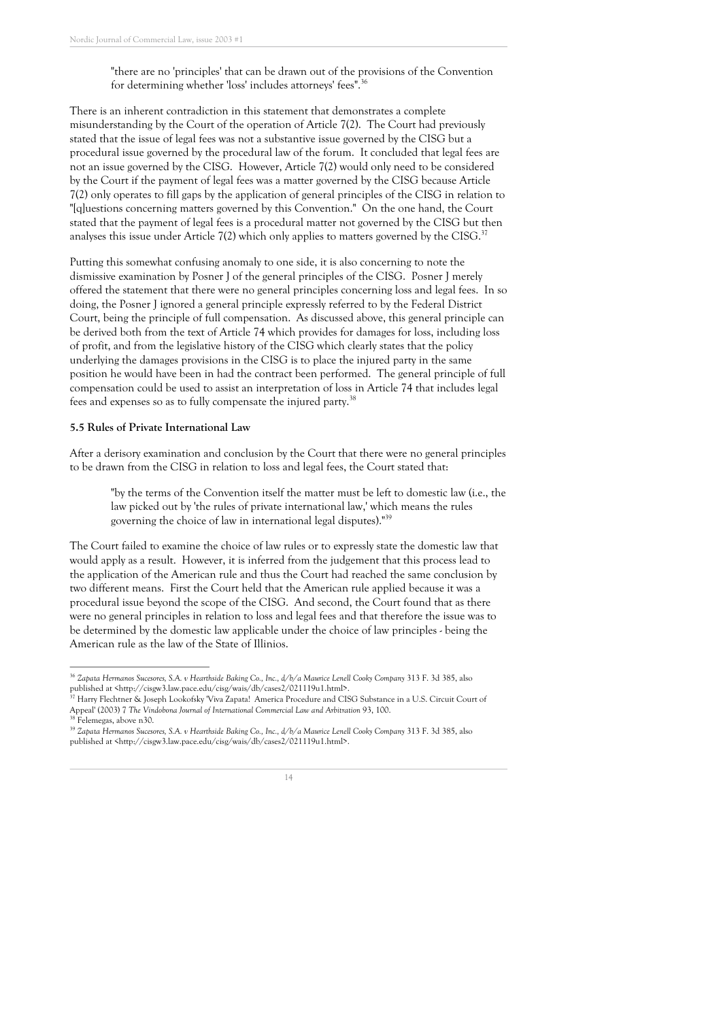"there are no 'principles ' that can be drawn out of the provisions of the Convention for determining whether 'loss' includes attorneys' fees".<sup>36</sup>

There is an inherent contradiction in this statement that demonstrates a complete misunderstanding by the Court of the operation of Article 7(2). The Court had previously stated that the issue of legal fees was not a substantive issue governed by the CISG but a procedural issue governed by the procedural law of the forum. It concluded that legal fees are not an issue governed by the CISG. However, Article 7(2) would only need to be considered by the Court if the payment of legal fees was a matter governed by the CISG because Article 7(2) only operates to fill gaps by the application of general principles of the CISG in relation to "[q]uestions concerning matters governed by this Convention." On the one hand, the Court stated that the payment of legal fees is a procedural matter not governed by the CISG but then analyses this issue under Article 7(2) which only applies to matters governed by the CISG.<sup>37</sup>

Putting this somewhat confusing anomaly to one side, it is also concerning to note the dismissive examination by Posner J of the general principles of the CISG. Posner J merely offered the statement that there were no general principles concerning loss and legal fees. In so doing, the Posner J ignored a general principle expressly referred to by the Federal District Court, being the principle of full compensation. As discussed above, this general principle can be derived both from the text of Article 74 which provides for damages for loss, including loss of profit, and from the legislative history of the CISG which clearly states that the policy underlying the damages provisions in the CISG is to place the injured party in the same position he would have been in had the contract been performed. The general principle of full compensation could be used to assist an interpretation of loss in Article 74 that includes legal fees and expenses so as to fully compensate the injured party.<sup>38</sup>

#### **5.5 Rules of Private International Law**

After a derisory examination and conclusion by the Court that there were no general principles to be drawn from the CISG in relation to loss and legal fees, the Court stated that:

"by the terms of the Convention itself the matter must be left to domestic law (i.e., the law picked out by 'the rules of private international law, ' which means the rules governing the choice of law in international legal disputes)." 39

The Court failed to examine the choice of law rules or to expressly state the domestic law that would apply as a result. However, it is inferred from the judgement that this process lead to the application of the American rule and thus the Court had reached the same conclusion by two different means. First the Court held that the American rule applied because it was a procedural issue beyond the scope of the CISG. And second, the Court found that as there were no general principles in relation to loss and legal fees and that therefore the issue was to be determined by the domestic law applicable under the choice of law principles - being the American rule as the law of the State of Illinios.

<sup>39</sup> *Zapata Hermanos Sucesores, S.A. v Hearthside Baking Co., Inc., d/b/a Maurice Lenell Cooky Company* 313 F. 3d 385, also published at <http://cisgw3.law.pace.edu/cisg/wais/db/cases2/021119u1.html>.



<sup>36</sup> *Zapata Hermanos Sucesores, S.A. v Hearthside Baking Co., Inc., d/b/a Maurice Lenell Cooky Company* 313 F. 3d 385, also published at <http://cisgw3.law.pace.edu/cisg/wais/db/cases2/021119u1.html>.

<sup>37</sup> Harry Flechtner & Joseph Lookofsky 'Viva Zapata! America Procedure and CISG Substance in a U.S. Circuit Court of Appeal' (2003) 7 *The Vindobona Journal of International Commercial Law and Arbitration* 93, 100. <sup>38</sup> Felemegas, above n30.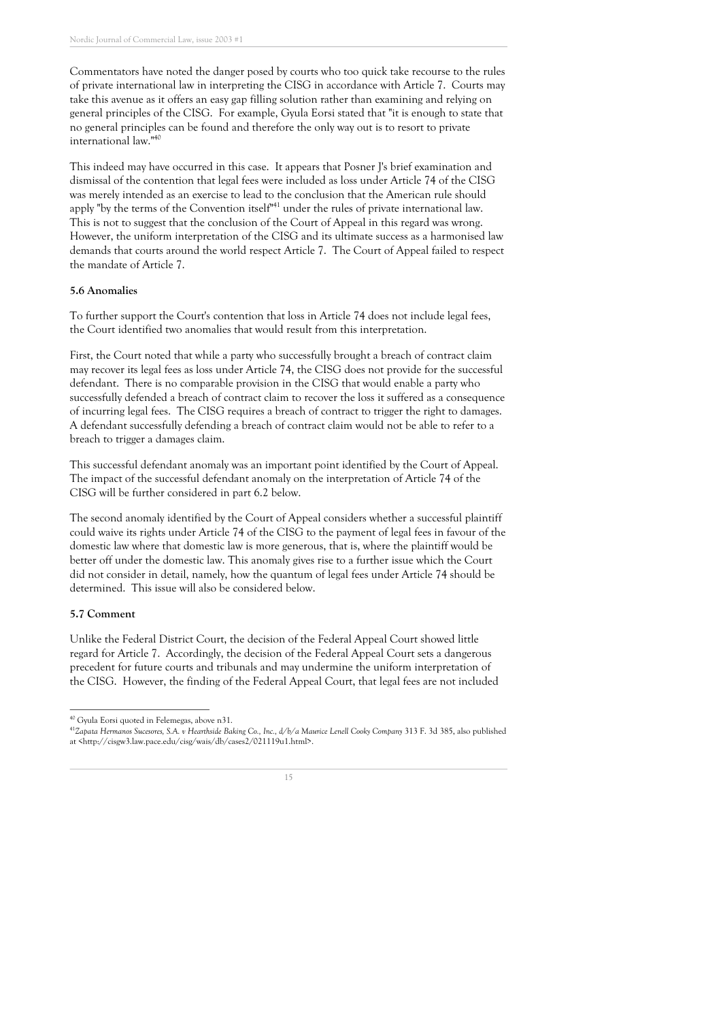Commentators have noted the danger posed by courts who too quick take recourse to the rules of private international law in interpreting the CISG in accordance with Article 7. Courts may take this avenue as it offers an easy gap filling solution rather than examining and relying on general principles of the CISG. For example, Gyula Eorsi stated that "it is enough to state that no general principles can be found and therefore the only way out is to resort to private international law." 40

This indeed may have occurred in this case. It appears that Posner J' s brief examination and dismissal of the contention that legal fees were included as loss under Article 74 of the CISG was merely intended as an exercise to lead to the conclusion that the American rule should apply "by the terms of the Convention itself<sup>141</sup> under the rules of private international law. This is not to suggest that the conclusion of the Court of Appeal in this regard was wrong. However, the uniform interpretation of the CISG and its ultimate success as a harmonised law demands that courts around the world respect Article 7. The Court of Appeal failed to respect the mandate of Article 7.

#### **5.6 Anomalies**

To further support the Court's contention that loss in Article 74 does not include legal fees, the Court identified two anomalies that would result from this interpretation.

First, the Court noted that while a party who successfully brought a breach of contract claim may recover its legal fees as loss under Article 74, the CISG does not provide for the successful defendant. There is no comparable provision in the CISG that would enable a party who successfully defended a breach of contract claim to recover the loss it suffered as a consequence of incurring legal fees. The CISG requires a breach of contract to trigger the right to damages. A defendant successfully defending a breach of contract claim would not be able to refer to a breach to trigger a damages claim.

This successful defendant anomaly was an important point identified by the Court of Appeal. The impact of the successful defendant anomaly on the interpretation of Article 74 of the CISG will be further considered in part 6.2 below.

The second anomaly identified by the Court of Appeal considers whether a successful plaintiff could waive its rights under Article 74 of the CISG to the payment of legal fees in favour of the domestic law where that domestic law is more generous, that is, where the plaintiff would be better off under the domestic law. This anomaly gives rise to a further issue which the Court did not consider in detail, namely, how the quantum of legal fees under Article 74 should be determined. This issue will also be considered below.

#### **5.7 Comment**

Unlike the Federal District Court, the decision of the Federal Appeal Court showed little regard for Article 7. Accordingly, the decision of the Federal Appeal Court sets a dangerous precedent for future courts and tribunals and may undermine the uniform interpretation of the CISG. However, the finding of the Federal Appeal Court, that legal fees are not included

<sup>40</sup> Gyula Eorsi quoted in Felemegas, above n31.

<sup>41</sup>Zapata Hermanos Sucesores, S.A. v Hearthside Baking Co., Inc., d/b/a Maurice Lenell Cooky Company 313 F. 3d 385, also published at <http://cisgw3.law.pace.edu/cisg/wais/db/cases2/021119u1.html>.

<sup>15</sup>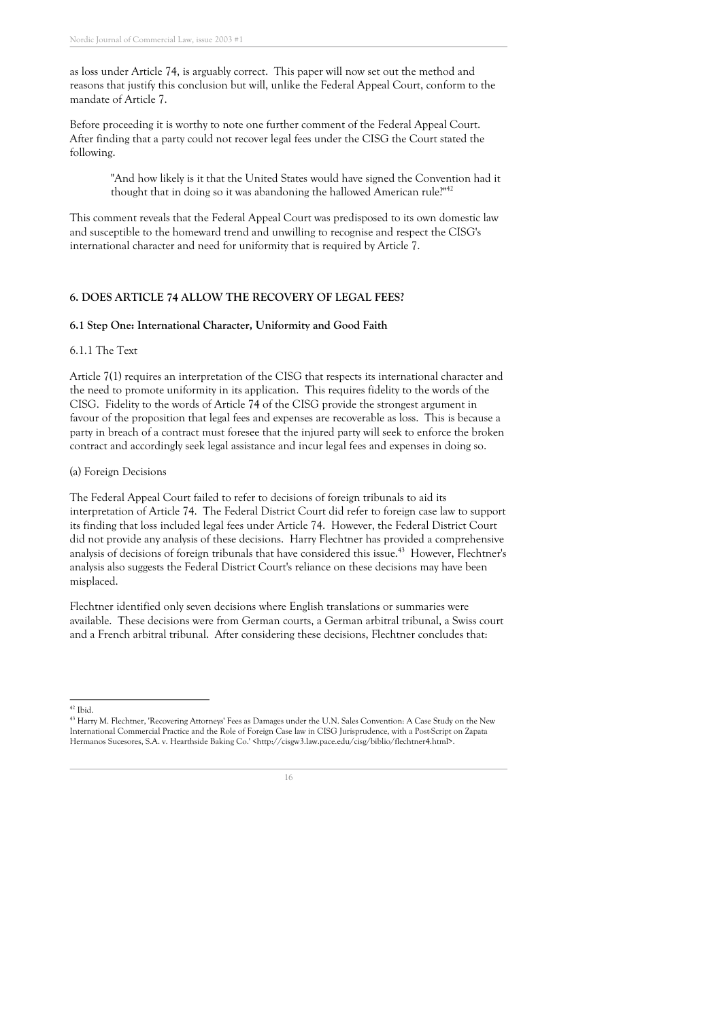as loss under Article 74, is arguably correct. This paper will now set out the method and reasons that justify this conclusion but will, unlike the Federal Appeal Court, conform to the mandate of Article 7.

Before proceeding it is worthy to note one further comment of the Federal Appeal Court. After finding that a party could not recover legal fees under the CISG the Court stated the following.

"And how likely is it that the United States would have signed the Convention had it thought that in doing so it was abandoning the hallowed American rule?"<sup>42</sup>

This comment reveals that the Federal Appeal Court was predisposed to its own domestic law and susceptible to the homeward trend and unwilling to recognise and respect the CISG' s international character and need for uniformity that is required by Article 7.

#### **6. DOES ARTICLE 74 ALLOW THE RECOVERY OF LEGAL FEES?**

#### **6.1 Step One: International Character, Uniformity and Good Faith**

#### 6.1.1 The Text

Article 7(1) requires an interpretation of the CISG that respects its international character and the need to promote uniformity in its application. This requires fidelity to the words of the CISG. Fidelity to the words of Article 74 of the CISG provide the strongest argument in favour of the proposition that legal fees and expenses are recoverable as loss. This is because a party in breach of a contract must foresee that the injured party will seek to enforce the broken contract and accordingly seek legal assistance and incur legal fees and expenses in doing so.

#### (a) Foreign Decisions

The Federal Appeal Court failed to refer to decisions of foreign tribunals to aid its interpretation of Article 74. The Federal District Court did refer to foreign case law to support its finding that loss included legal fees under Article 74. However, the Federal District Court did not provide any analysis of these decisions. Harry Flechtner has provided a comprehensive analysis of decisions of foreign tribunals that have considered this issue.<sup>43</sup> However, Flechtner's analysis also suggests the Federal District Court' s reliance on these decisions may have been misplaced.

Flechtner identified only seven decisions where English translations or summaries were available. These decisions were from German courts, a German arbitral tribunal, a Swiss court and a French arbitral tribunal. After considering these decisions, Flechtner concludes that:

 $42$  Ibid.

<sup>43</sup> Harry M. Flechtner, 'Recovering Attorneys ' Fees as Damages under the U.N. Sales Convention: A Case Study on the New International Commercial Practice and the Role of Foreign Case law in CISG Jurisprudence, with a Post-Script on Zapata Hermanos Sucesores, S.A. v. Hearthside Baking Co.' <http://cisgw3.law.pace.edu/cisg/biblio/flechtner4.html>.

<sup>16</sup>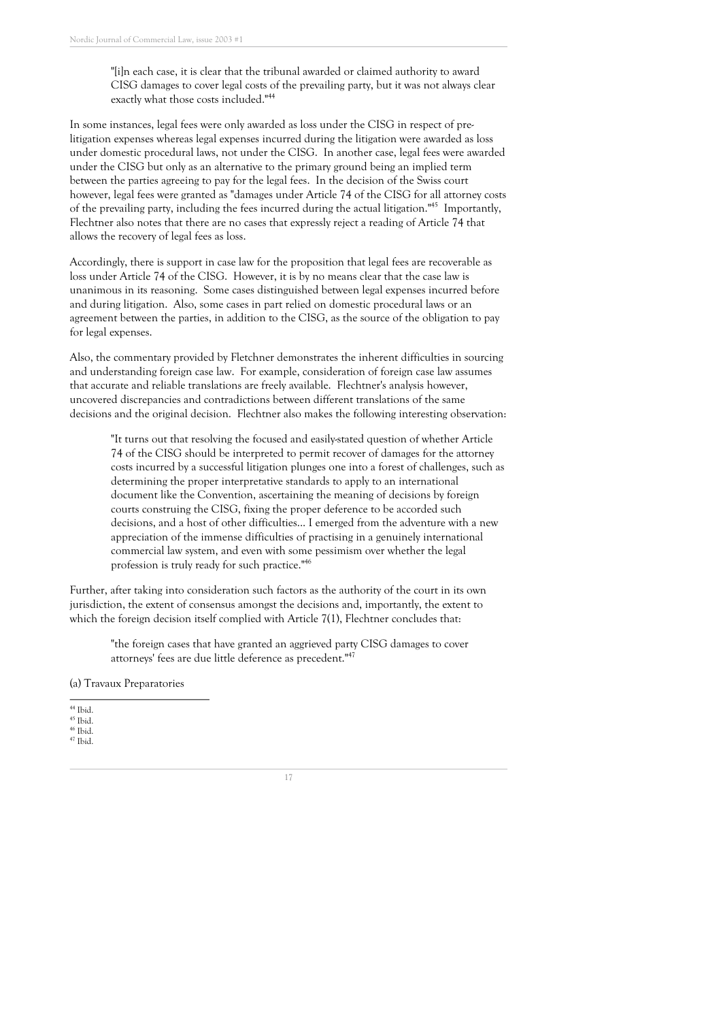"[i]n each case, it is clear that the tribunal awarded or claimed authority to award CISG damages to cover legal costs of the prevailing party, but it was not always clear exactly what those costs included." 44

In some instances, legal fees were only awarded as loss under the CISG in respect of prelitigation expenses whereas legal expenses incurred during the litigation were awarded as loss under domestic procedural laws, not under the CISG. In another case, legal fees were awarded under the CISG but only as an alternative to the primary ground being an implied term between the parties agreeing to pay for the legal fees. In the decision of the Swiss court however, legal fees were granted as "damages under Article 74 of the CISG for all attorney costs of the prevailing party, including the fees incurred during the actual litigation."<sup>45</sup> Importantly, Flechtner also notes that there are no cases that expressly reject a reading of Article 74 that allows the recovery of legal fees as loss.

Accordingly, there is support in case law for the proposition that legal fees are recoverable as loss under Article 74 of the CISG. However, it is by no means clear that the case law is unanimous in its reasoning. Some cases distinguished between legal expenses incurred before and during litigation. Also, some cases in part relied on domestic procedural laws or an agreement between the parties, in addition to the CISG, as the source of the obligation to pay for legal expenses.

Also, the commentary provided by Fletchner demonstrates the inherent difficulties in sourcing and understanding foreign case law. For example, consideration of foreign case law assumes that accurate and reliable translations are freely available. Flechtner' s analysis however, uncovered discrepancies and contradictions between different translations of the same decisions and the original decision. Flechtner also makes the following interesting observation:

"It turns out that resolving the focused and easily-stated question of whether Article 74 of the CISG should be interpreted to permit recover of damages for the attorney costs incurred by a successful litigation plunges one into a forest of challenges, such as determining the proper interpretative standards to apply to an international document like the Convention, ascertaining the meaning of decisions by foreign courts construing the CISG, fixing the proper deference to be accorded such decisions, and a host of other difficulties... I emerged from the adventure with a new appreciation of the immense difficulties of practising in a genuinely international commercial law system, and even with some pessimism over whether the legal profession is truly ready for such practice." 46

Further, after taking into consideration such factors as the authority of the court in its own jurisdiction, the extent of consensus amongst the decisions and, importantly, the extent to which the foreign decision itself complied with Article 7(1), Flechtner concludes that:

"the foreign cases that have granted an aggrieved party CISG damages to cover attorneys' fees are due little deference as precedent."<sup>47</sup>

(a) Travaux Preparatories

 $44$  Ibid.  $^{\rm 45}$  Ibid.

 $^{46}$  Ibid. <sup>47</sup> Ibid.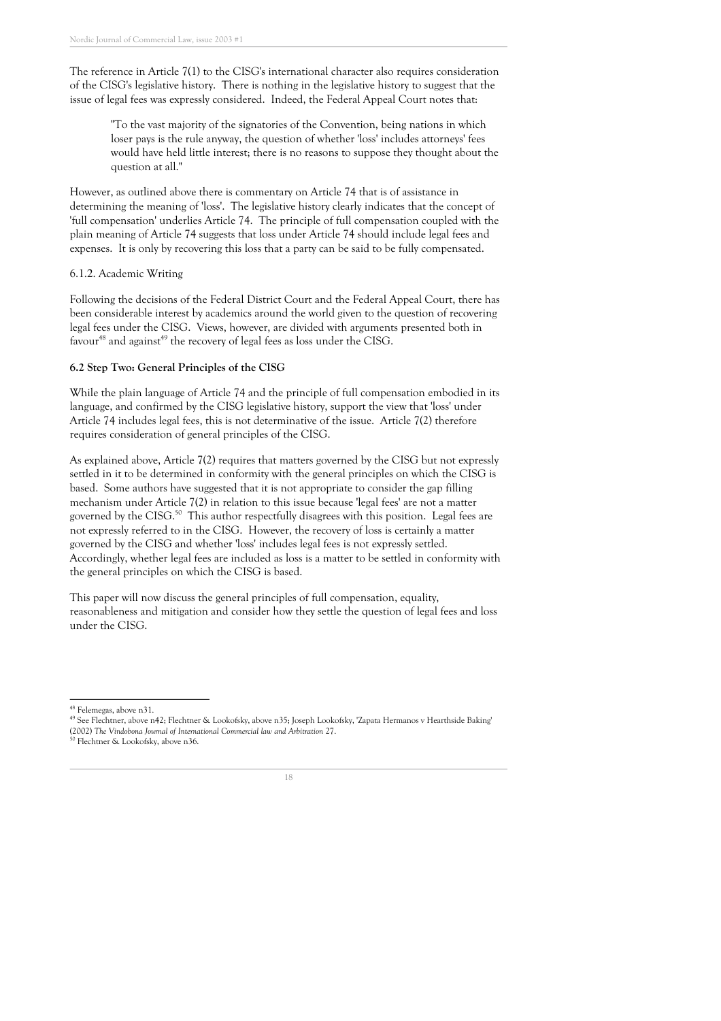The reference in Article 7(1) to the CISG' s international character also requires consideration of the CISG' s legislative history. There is nothing in the legislative history to suggest that the issue of legal fees was expressly considered. Indeed, the Federal Appeal Court notes that:

"To the vast majority of the signatories of the Convention, being nations in which loser pays is the rule anyway, the question of whether 'loss ' includes attorneys ' fees would have held little interest; there is no reasons to suppose they thought about the question at all."

However, as outlined above there is commentary on Article 74 that is of assistance in determining the meaning of 'loss '. The legislative history clearly indicates that the concept of 'full compensation' underlies Article 74. The principle of full compensation coupled with the plain meaning of Article 74 suggests that loss under Article 74 should include legal fees and expenses. It is only by recovering this loss that a party can be said to be fully compensated.

#### 6.1.2. Academic Writing

Following the decisions of the Federal District Court and the Federal Appeal Court, there has been considerable interest by academics around the world given to the question of recovering legal fees under the CISG. Views, however, are divided with arguments presented both in favour<sup>48</sup> and against<sup>49</sup> the recovery of legal fees as loss under the CISG.

#### **6.2 Step Two: General Principles of the CISG**

While the plain language of Article 74 and the principle of full compensation embodied in its language, and confirmed by the CISG legislative history, support the view that 'loss ' under Article 74 includes legal fees, this is not determinative of the issue. Article 7(2) therefore requires consideration of general principles of the CISG.

As explained above, Article 7(2) requires that matters governed by the CISG but not expressly settled in it to be determined in conformity with the general principles on which the CISG is based. Some authors have suggested that it is not appropriate to consider the gap filling mechanism under Article 7(2) in relation to this issue because 'legal fees ' are not a matter governed by the CISG.<sup>50</sup> This author respectfully disagrees with this position. Legal fees are not expressly referred to in the CISG. However, the recovery of loss is certainly a matter governed by the CISG and whether 'loss ' includes legal fees is not expressly settled. Accordingly, whether legal fees are included as loss is a matter to be settled in conformity with the general principles on which the CISG is based.

This paper will now discuss the general principles of full compensation, equality, reasonableness and mitigation and consider how they settle the question of legal fees and loss under the CISG.



<sup>48</sup> Felemegas, above n31.

<sup>49</sup> See Flechtner, above n42; Flechtner & Lookofsky, above n35; Joseph Lookofsky, 'Zapata Hermanos v Hearthside Baking' (2002) *The Vindobona Journal of International Commercial law and Arbitration* 27.

Flechtner & Lookofsky, above n36.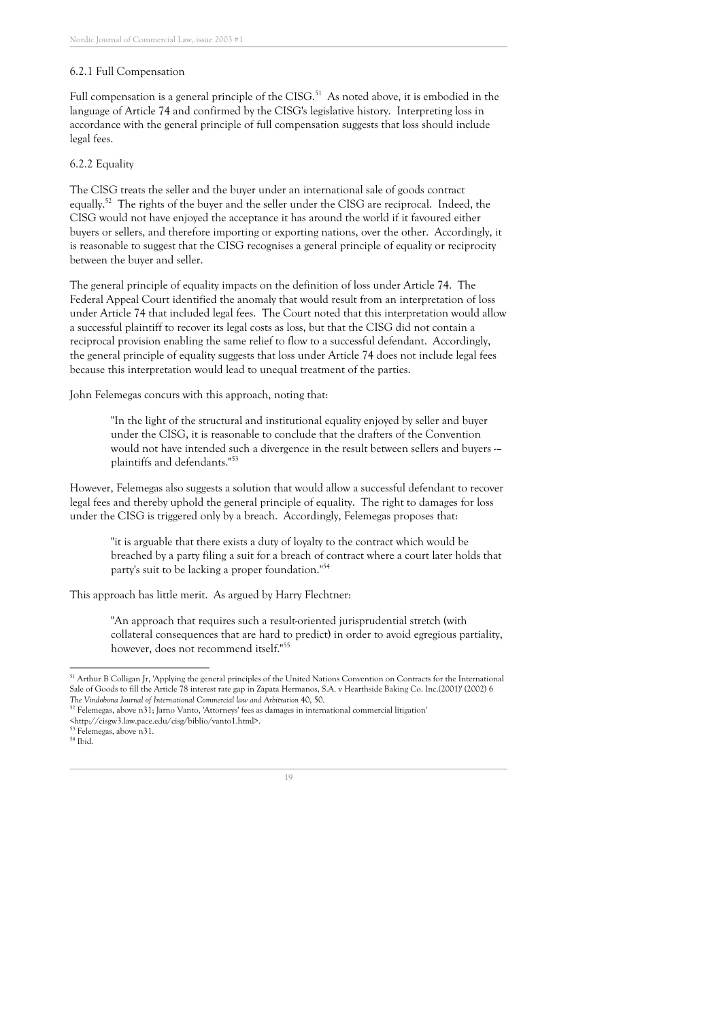#### 6.2.1 Full Compensation

Full compensation is a general principle of the CISG.<sup>51</sup> As noted above, it is embodied in the language of Article 74 and confirmed by the CISG' s legislative history. Interpreting loss in accordance with the general principle of full compensation suggests that loss should include legal fees.

#### 6.2.2 Equality

The CISG treats the seller and the buyer under an international sale of goods contract equally.<sup>52</sup> The rights of the buyer and the seller under the CISG are reciprocal. Indeed, the CISG would not have enjoyed the acceptance it has around the world if it favoured either buyers or sellers, and therefore importing or exporting nations, over the other. Accordingly, it is reasonable to suggest that the CISG recognises a general principle of equality or reciprocity between the buyer and seller.

The general principle of equality impacts on the definition of loss under Article 74. The Federal Appeal Court identified the anomaly that would result from an interpretation of loss under Article 74 that included legal fees. The Court noted that this interpretation would allow a successful plaintiff to recover its legal costs as loss, but that the CISG did not contain a reciprocal provision enabling the same relief to flow to a successful defendant. Accordingly, the general principle of equality suggests that loss under Article 74 does not include legal fees because this interpretation would lead to unequal treatment of the parties.

John Felemegas concurs with this approach, noting that:

"In the light of the structural and institutional equality enjoyed by seller and buyer under the CISG, it is reasonable to conclude that the drafters of the Convention would not have intended such a divergence in the result between sellers and buyers -– plaintiffs and defendants." 53

However, Felemegas also suggests a solution that would allow a successful defendant to recover legal fees and thereby uphold the general principle of equality. The right to damages for loss under the CISG is triggered only by a breach. Accordingly, Felemegas proposes that:

"it is arguable that there exists a duty of loyalty to the contract which would be breached by a party filing a suit for a breach of contract where a court later holds that party ' s suit to be lacking a proper foundation." 54

This approach has little merit. As argued by Harry Flechtner:

"An approach that requires such a result-oriented jurisprudential stretch (with collateral consequences that are hard to predict) in order to avoid egregious partiality, however, does not recommend itself." 55

<sup>&</sup>lt;sup>51</sup> Arthur B Colligan Jr, 'Applying the general principles of the United Nations Convention on Contracts for the International Sale of Goods to fill the Article 78 interest rate gap in Zapata Hermanos, S.A. v Hearthside Baking Co. Inc.(2001)' (2002) 6 *The Vindobona Journal of International Commercial law and Arbitration* 40, 50.

 $^{52}$  Felemegas, above n $31$ ; Jarno Vanto, 'Attorneys' fees as damages in international commercial litigation'

<sup>&</sup>lt;http://cisgw3.law.pace.edu/cisg/biblio/vanto1.html>.

<sup>53</sup> Felemegas, above n31.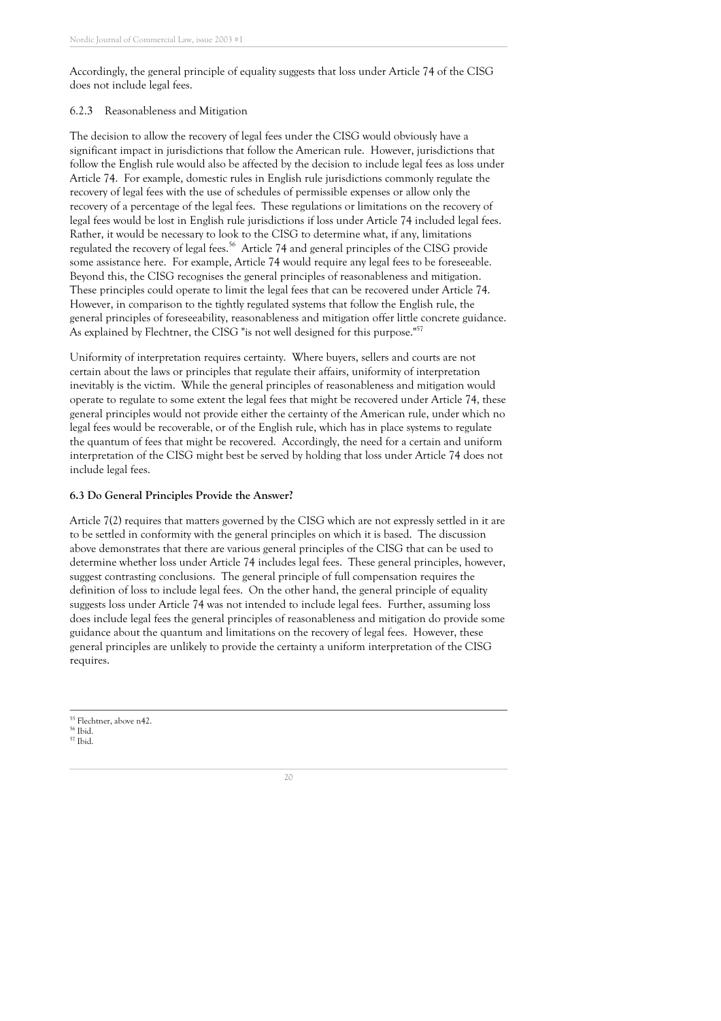Accordingly, the general principle of equality suggests that loss under Article 74 of the CISG does not include legal fees.

#### 6.2.3 Reasonableness and Mitigation

The decision to allow the recovery of legal fees under the CISG would obviously have a significant impact in jurisdictions that follow the American rule. However, jurisdictions that follow the English rule would also be affected by the decision to include legal fees as loss under Article 74. For example, domestic rules in English rule jurisdictions commonly regulate the recovery of legal fees with the use of schedules of permissible expenses or allow only the recovery of a percentage of the legal fees. These regulations or limitations on the recovery of legal fees would be lost in English rule jurisdictions if loss under Article 74 included legal fees. Rather, it would be necessary to look to the CISG to determine what, if any, limitations regulated the recovery of legal fees. <sup>56</sup> Article 74 and general principles of the CISG provide some assistance here. For example, Article 74 would require any legal fees to be foreseeable. Beyond this, the CISG recognises the general principles of reasonableness and mitigation. These principles could operate to limit the legal fees that can be recovered under Article 74. However, in comparison to the tightly regulated systems that follow the English rule, the general principles of foreseeability, reasonableness and mitigation offer little concrete guidance. As explained by Flechtner, the CISG "is not well designed for this purpose."<sup>57</sup>

Uniformity of interpretation requires certainty. Where buyers, sellers and courts are not certain about the laws or principles that regulate their affairs, uniformity of interpretation inevitably is the victim. While the general principles of reasonableness and mitigation would operate to regulate to some extent the legal fees that might be recovered under Article 74, these general principles would not provide either the certainty of the American rule, under which no legal fees would be recoverable, or of the English rule, which has in place systems to regulate the quantum of fees that might be recovered. Accordingly, the need for a certain and uniform interpretation of the CISG might best be served by holding that loss under Article 74 does not include legal fees.

#### **6.3 Do General Principles Provide the Answer?**

Article 7(2) requires that matters governed by the CISG which are not expressly settled in it are to be settled in conformity with the general principles on which it is based. The discussion above demonstrates that there are various general principles of the CISG that can be used to determine whether loss under Article 74 includes legal fees. These general principles, however, suggest contrasting conclusions. The general principle of full compensation requires the definition of loss to include legal fees. On the other hand, the general principle of equality suggests loss under Article 74 was not intended to include legal fees. Further, assuming loss does include legal fees the general principles of reasonableness and mitigation do provide some guidance about the quantum and limitations on the recovery of legal fees. However, these general principles are unlikely to provide the certainty a uniform interpretation of the CISG requires.

<sup>55</sup> Flechtner, above n42.

<sup>57</sup> Ibid.

<sup>56</sup> Ibid.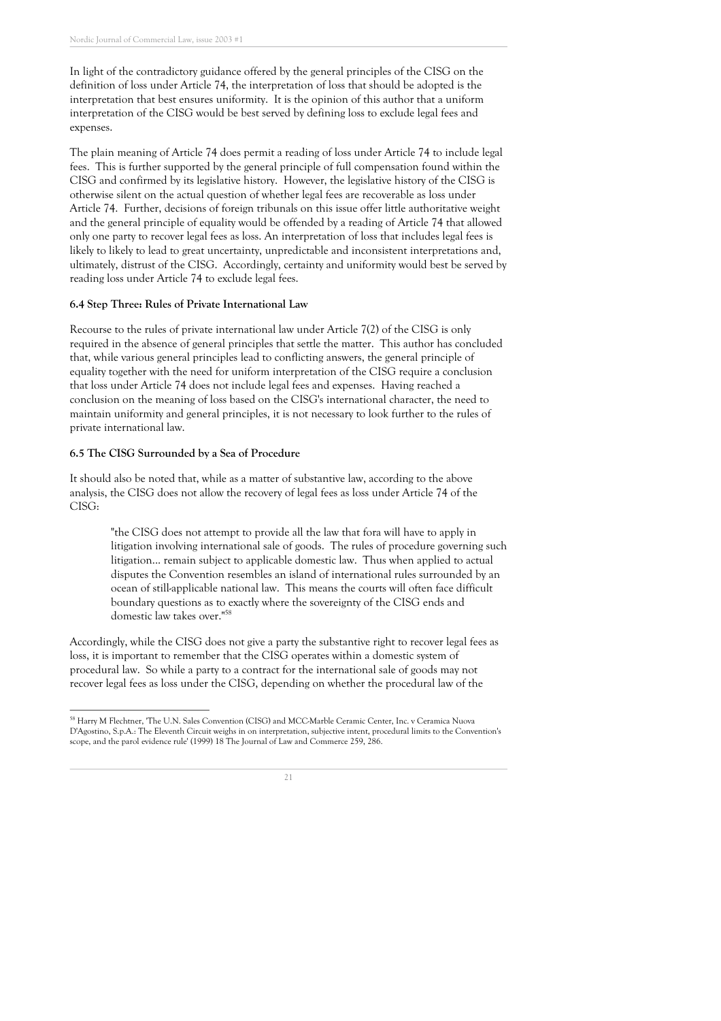In light of the contradictory guidance offered by the general principles of the CISG on the definition of loss under Article 74, the interpretation of loss that should be adopted is the interpretation that best ensures uniformity. It is the opinion of this author that a uniform interpretation of the CISG would be best served by defining loss to exclude legal fees and expenses.

The plain meaning of Article 74 does permit a reading of loss under Article 74 to include legal fees. This is further supported by the general principle of full compensation found within the CISG and confirmed by its legislative history. However, the legislative history of the CISG is otherwise silent on the actual question of whether legal fees are recoverable as loss under Article 74. Further, decisions of foreign tribunals on this issue offer little authoritative weight and the general principle of equality would be offended by a reading of Article 74 that allowed only one party to recover legal fees as loss. An interpretation of loss that includes legal fees is likely to likely to lead to great uncertainty, unpredictable and inconsistent interpretations and, ultimately, distrust of the CISG. Accordingly, certainty and uniformity would best be served by reading loss under Article 74 to exclude legal fees.

#### **6.4 Step Three: Rules of Private International Law**

Recourse to the rules of private international law under Article 7(2) of the CISG is only required in the absence of general principles that settle the matter. This author has concluded that, while various general principles lead to conflicting answers, the general principle of equality together with the need for uniform interpretation of the CISG require a conclusion that loss under Article 74 does not include legal fees and expenses. Having reached a conclusion on the meaning of loss based on the CISG' s international character, the need to maintain uniformity and general principles, it is not necessary to look further to the rules of private international law.

#### **6.5 The CISG Surrounded by a Sea of Procedure**

It should also be noted that, while as a matter of substantive law, according to the above analysis, the CISG does not allow the recovery of legal fees as loss under Article 74 of the CISG:

"the CISG does not attempt to provide all the law that fora will have to apply in litigation involving international sale of goods. The rules of procedure governing such litigation... remain subject to applicable domestic law. Thus when applied to actual disputes the Convention resembles an island of international rules surrounded by an ocean of still-applicable national law. This means the courts will often face difficult boundary questions as to exactly where the sovereignty of the CISG ends and domestic law takes over." 58

Accordingly, while the CISG does not give a party the substantive right to recover legal fees as loss, it is important to remember that the CISG operates within a domestic system of procedural law. So while a party to a contract for the international sale of goods may not recover legal fees as loss under the CISG, depending on whether the procedural law of the

<sup>&</sup>lt;sup>58</sup> Harry M Flechtner, 'The U.N. Sales Convention (CISG) and MCC-Marble Ceramic Center, Inc. v Ceramica Nuova D'Agostino, S.p.A.: The Eleventh Circuit weighs in on interpretation, subjective intent, procedural limits to the Convention' s scope, and the parol evidence rule ' (1999) 18 The Journal of Law and Commerce 259, 286.

<sup>21</sup>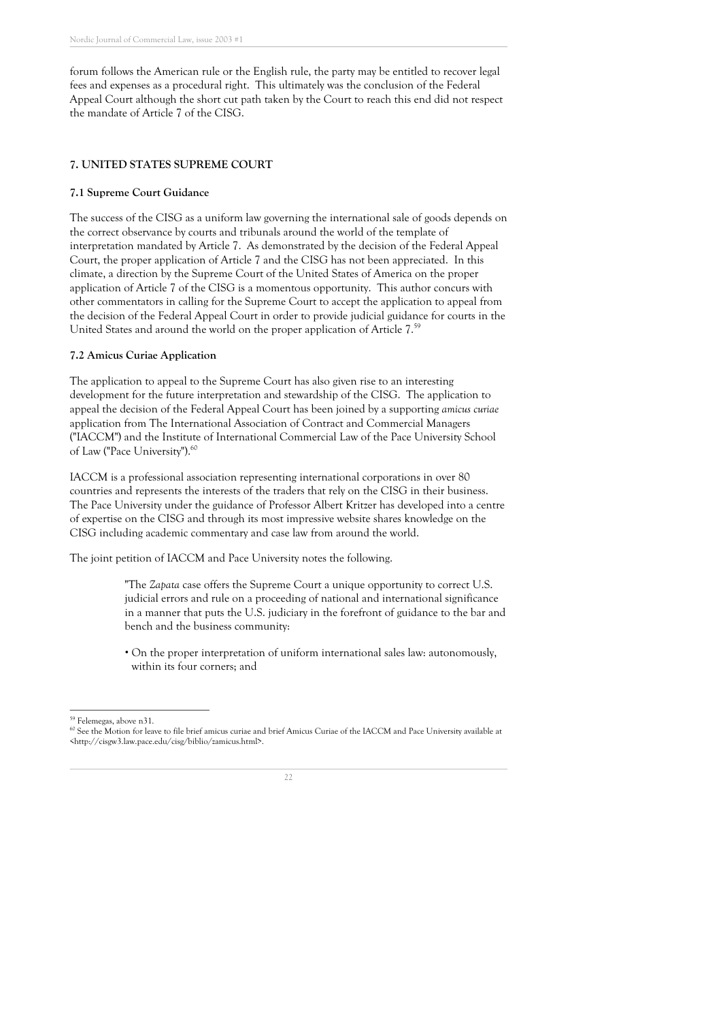forum follows the American rule or the English rule, the party may be entitled to recover legal fees and expenses as a procedural right. This ultimately was the conclusion of the Federal Appeal Court although the short cut path taken by the Court to reach this end did not respect the mandate of Article 7 of the CISG.

#### **7. UNITED STATES SUPREME COURT**

#### **7.1 Supreme Court Guidance**

The success of the CISG as a uniform law governing the international sale of goods depends on the correct observance by courts and tribunals around the world of the template of interpretation mandated by Article 7. As demonstrated by the decision of the Federal Appeal Court, the proper application of Article 7 and the CISG has not been appreciated. In this climate, a direction by the Supreme Court of the United States of America on the proper application of Article 7 of the CISG is a momentous opportunity. This author concurs with other commentators in calling for the Supreme Court to accept the application to appeal from the decision of the Federal Appeal Court in order to provide judicial guidance for courts in the United States and around the world on the proper application of Article 7. 59

#### **7.2 Amicus Curiae Application**

The application to appeal to the Supreme Court has also given rise to an interesting development for the future interpretation and stewardship of the CISG. The application to appeal the decision of the Federal Appeal Court has been joined by a supporting *amicus curiae* application from The International Association of Contract and Commercial Managers ("IACCM") and the Institute of International Commercial Law of the Pace University School of Law ("Pace University").<sup>60</sup>

IACCM is a professional association representing international corporations in over 80 countries and represents the interests of the traders that rely on the CISG in their business. The Pace University under the guidance of Professor Albert Kritzer has developed into a centre of expertise on the CISG and through its most impressive website shares knowledge on the CISG including academic commentary and case law from around the world.

The joint petition of IACCM and Pace University notes the following.

"The *Zapata* case offers the Supreme Court a unique opportunity to correct U.S. judicial errors and rule on a proceeding of national and international significance in a manner that puts the U.S. judiciary in the forefront of guidance to the bar and bench and the business community:

• On the proper interpretation of uniform international sales law: autonomously, within its four corners; and

<sup>&</sup>lt;sup>60</sup> See the Motion for leave to file brief amicus curiae and brief Amicus Curiae of the IACCM and Pace University available at <http://cisgw3.law.pace.edu/cisg/biblio/zamicus.html>.



<sup>59</sup> Felemegas, above n31.